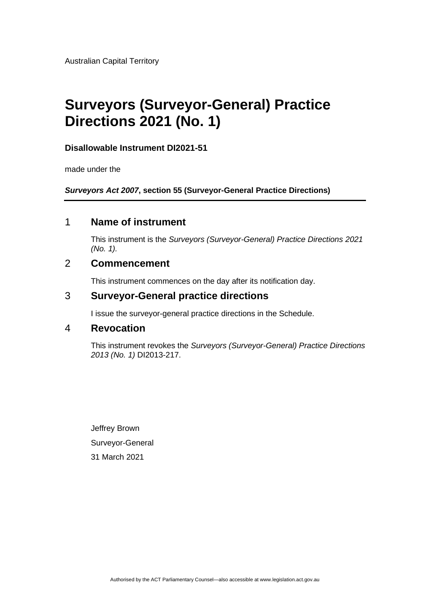Australian Capital Territory

# **Surveyors (Surveyor-General) Practice Directions 2021 (No. 1)**

#### **Disallowable Instrument DI2021-51**

made under the

*Surveyors Act 2007***, section 55 (Surveyor-General Practice Directions)**

### 1 **Name of instrument**

This instrument is the *Surveyors (Surveyor-General) Practice Directions 2021 (No. 1).*

### 2 **Commencement**

This instrument commences on the day after its notification day.

### 3 **Surveyor-General practice directions**

I issue the surveyor-general practice directions in the Schedule.

### 4 **Revocation**

This instrument revokes the *Surveyors (Surveyor-General) Practice Directions 2013 (No. 1)* DI2013-217.

Jeffrey Brown Surveyor-General 31 March 2021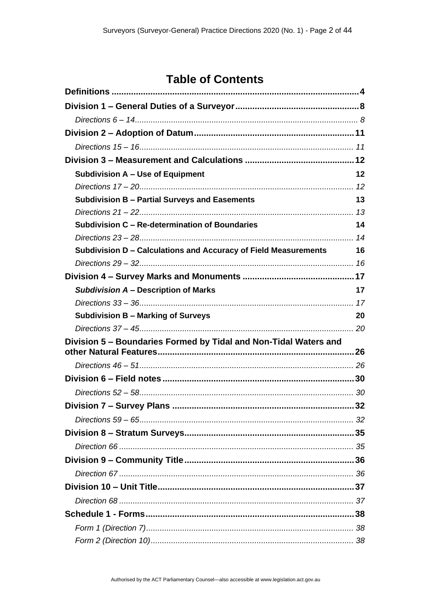# **Table of Contents**

| Subdivision A - Use of Equipment                                   | 12 |
|--------------------------------------------------------------------|----|
|                                                                    |    |
| <b>Subdivision B - Partial Surveys and Easements</b>               | 13 |
|                                                                    |    |
| Subdivision C - Re-determination of Boundaries                     | 14 |
|                                                                    |    |
| Subdivision D - Calculations and Accuracy of Field Measurements 16 |    |
|                                                                    |    |
|                                                                    |    |
| Subdivision A - Description of Marks                               | 17 |
|                                                                    |    |
| <b>Subdivision B - Marking of Surveys</b>                          | 20 |
|                                                                    |    |
| Division 5 - Boundaries Formed by Tidal and Non-Tidal Waters and   |    |
|                                                                    |    |
|                                                                    |    |
|                                                                    |    |
|                                                                    |    |
|                                                                    |    |
|                                                                    |    |
|                                                                    |    |
|                                                                    |    |
|                                                                    |    |
|                                                                    |    |
|                                                                    |    |
|                                                                    |    |
|                                                                    |    |
|                                                                    |    |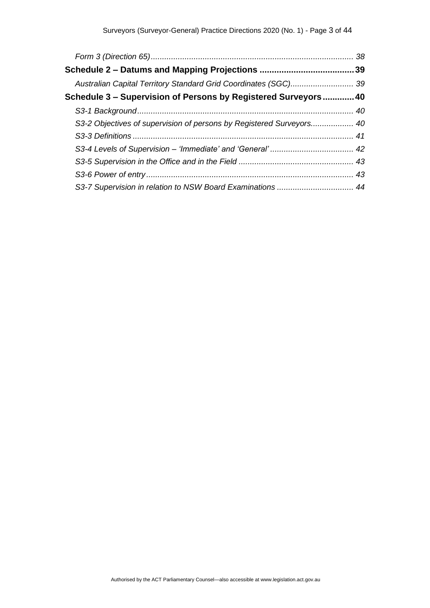| Australian Capital Territory Standard Grid Coordinates (SGC) 39      |  |
|----------------------------------------------------------------------|--|
| Schedule 3 – Supervision of Persons by Registered Surveyors 40       |  |
|                                                                      |  |
| S3-2 Objectives of supervision of persons by Registered Surveyors 40 |  |
|                                                                      |  |
|                                                                      |  |
|                                                                      |  |
|                                                                      |  |
|                                                                      |  |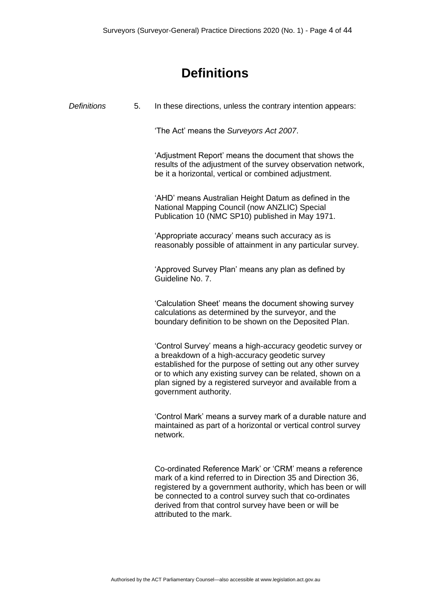# **Definitions**

<span id="page-3-0"></span>

| <b>Definitions</b> | 5. | In these directions, unless the contrary intention appears:                                                                                                                                                                                                                                                                            |
|--------------------|----|----------------------------------------------------------------------------------------------------------------------------------------------------------------------------------------------------------------------------------------------------------------------------------------------------------------------------------------|
|                    |    | 'The Act' means the Surveyors Act 2007.                                                                                                                                                                                                                                                                                                |
|                    |    | 'Adjustment Report' means the document that shows the<br>results of the adjustment of the survey observation network,<br>be it a horizontal, vertical or combined adjustment.                                                                                                                                                          |
|                    |    | 'AHD' means Australian Height Datum as defined in the<br>National Mapping Council (now ANZLIC) Special<br>Publication 10 (NMC SP10) published in May 1971.                                                                                                                                                                             |
|                    |    | 'Appropriate accuracy' means such accuracy as is<br>reasonably possible of attainment in any particular survey.                                                                                                                                                                                                                        |
|                    |    | 'Approved Survey Plan' means any plan as defined by<br>Guideline No. 7.                                                                                                                                                                                                                                                                |
|                    |    | 'Calculation Sheet' means the document showing survey<br>calculations as determined by the surveyor, and the<br>boundary definition to be shown on the Deposited Plan.                                                                                                                                                                 |
|                    |    | 'Control Survey' means a high-accuracy geodetic survey or<br>a breakdown of a high-accuracy geodetic survey<br>established for the purpose of setting out any other survey<br>or to which any existing survey can be related, shown on a<br>plan signed by a registered surveyor and available from a<br>government authority.         |
|                    |    | 'Control Mark' means a survey mark of a durable nature and<br>maintained as part of a horizontal or vertical control survey<br>network.                                                                                                                                                                                                |
|                    |    | Co-ordinated Reference Mark' or 'CRM' means a reference<br>mark of a kind referred to in Direction 35 and Direction 36,<br>registered by a government authority, which has been or will<br>be connected to a control survey such that co-ordinates<br>derived from that control survey have been or will be<br>attributed to the mark. |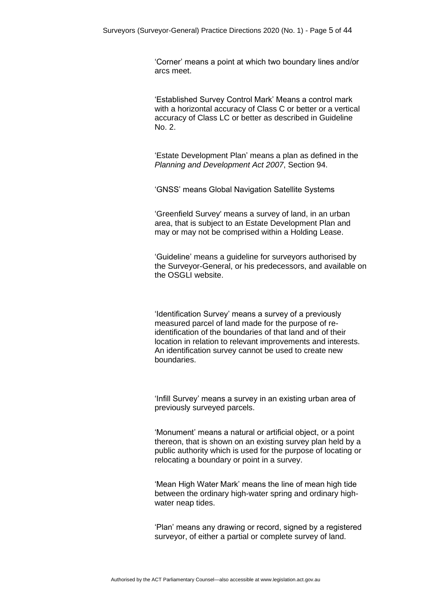'Corner' means a point at which two boundary lines and/or arcs meet.

'Established Survey Control Mark' Means a control mark with a horizontal accuracy of Class C or better or a vertical accuracy of Class LC or better as described in Guideline No. 2.

'Estate Development Plan' means a plan as defined in the *Planning and Development Act 2007*, Section 94.

'GNSS' means Global Navigation Satellite Systems

'Greenfield Survey' means a survey of land, in an urban area, that is subject to an Estate Development Plan and may or may not be comprised within a Holding Lease.

'Guideline' means a guideline for surveyors authorised by the Surveyor-General, or his predecessors, and available on the OSGLI website.

'Identification Survey' means a survey of a previously measured parcel of land made for the purpose of reidentification of the boundaries of that land and of their location in relation to relevant improvements and interests. An identification survey cannot be used to create new boundaries.

'Infill Survey' means a survey in an existing urban area of previously surveyed parcels.

'Monument' means a natural or artificial object, or a point thereon, that is shown on an existing survey plan held by a public authority which is used for the purpose of locating or relocating a boundary or point in a survey.

'Mean High Water Mark' means the line of mean high tide between the ordinary high-water spring and ordinary highwater neap tides.

'Plan' means any drawing or record, signed by a registered surveyor, of either a partial or complete survey of land.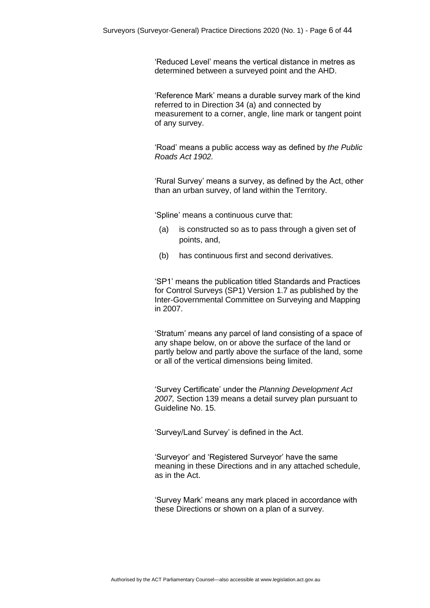'Reduced Level' means the vertical distance in metres as determined between a surveyed point and the AHD.

'Reference Mark' means a durable survey mark of the kind referred to in Direction 34 (a) and connected by measurement to a corner, angle, line mark or tangent point of any survey.

'Road' means a public access way as defined by *the Public Roads Act 1902.*

'Rural Survey' means a survey, as defined by the Act, other than an urban survey, of land within the Territory.

'Spline' means a continuous curve that:

- (a) is constructed so as to pass through a given set of points, and,
- (b) has continuous first and second derivatives.

'SP1' means the publication titled Standards and Practices for Control Surveys (SP1) Version 1.7 as published by the Inter-Governmental Committee on Surveying and Mapping in 2007.

'Stratum' means any parcel of land consisting of a space of any shape below, on or above the surface of the land or partly below and partly above the surface of the land, some or all of the vertical dimensions being limited.

'Survey Certificate' under the *Planning Development Act 2007,* Section 139 means a detail survey plan pursuant to Guideline No. 15.

'Survey/Land Survey' is defined in the Act.

'Surveyor' and 'Registered Surveyor' have the same meaning in these Directions and in any attached schedule, as in the Act.

'Survey Mark' means any mark placed in accordance with these Directions or shown on a plan of a survey.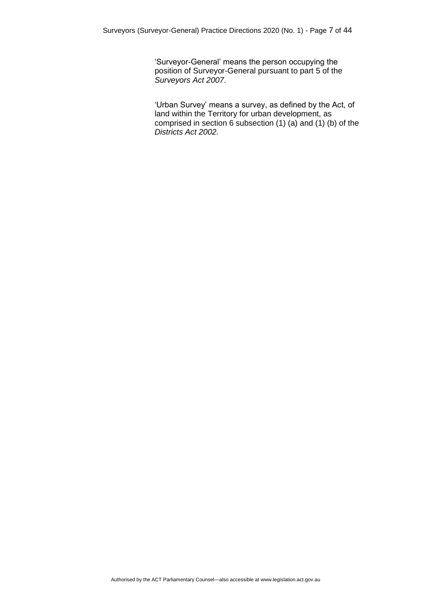'Surveyor-General' means the person occupying the position of Surveyor-General pursuant to part 5 of the *Surveyors Act 2007*.

'Urban Survey' means a survey, as defined by the Act, of land within the Territory for urban development, as comprised in section 6 subsection (1) (a) and (1) (b) of the *Districts Act 2002.*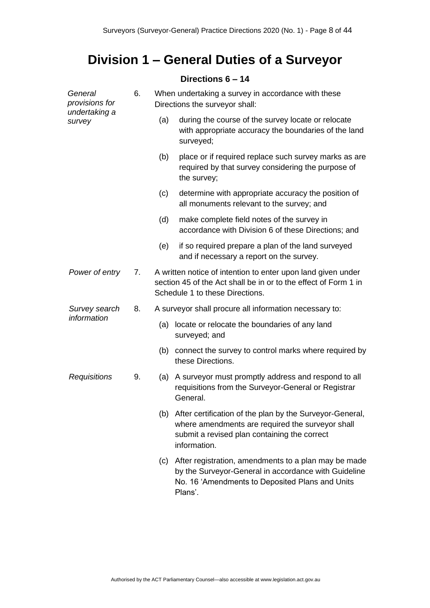# <span id="page-7-0"></span>**Division 1 – General Duties of a Surveyor**

### **Directions 6 – 14**

<span id="page-7-1"></span>

| General<br>provisions for | 6. | When undertaking a survey in accordance with these<br>Directions the surveyor shall: |                                                                                                                                                                                  |  |  |  |
|---------------------------|----|--------------------------------------------------------------------------------------|----------------------------------------------------------------------------------------------------------------------------------------------------------------------------------|--|--|--|
| undertaking a<br>survey   |    | (a)                                                                                  | during the course of the survey locate or relocate<br>with appropriate accuracy the boundaries of the land<br>surveyed;                                                          |  |  |  |
|                           |    | (b)                                                                                  | place or if required replace such survey marks as are<br>required by that survey considering the purpose of<br>the survey;                                                       |  |  |  |
|                           |    | (c)                                                                                  | determine with appropriate accuracy the position of<br>all monuments relevant to the survey; and                                                                                 |  |  |  |
|                           |    | (d)                                                                                  | make complete field notes of the survey in<br>accordance with Division 6 of these Directions; and                                                                                |  |  |  |
|                           |    | (e)                                                                                  | if so required prepare a plan of the land surveyed<br>and if necessary a report on the survey.                                                                                   |  |  |  |
| Power of entry            | 7. |                                                                                      | A written notice of intention to enter upon land given under<br>section 45 of the Act shall be in or to the effect of Form 1 in<br>Schedule 1 to these Directions.               |  |  |  |
| Survey search             | 8. |                                                                                      | A surveyor shall procure all information necessary to:                                                                                                                           |  |  |  |
| information               |    | (a)                                                                                  | locate or relocate the boundaries of any land<br>surveyed; and                                                                                                                   |  |  |  |
|                           |    | (b)                                                                                  | connect the survey to control marks where required by<br>these Directions.                                                                                                       |  |  |  |
| Requisitions              | 9. | (a)                                                                                  | A surveyor must promptly address and respond to all<br>requisitions from the Surveyor-General or Registrar<br>General.                                                           |  |  |  |
|                           |    |                                                                                      | (b) After certification of the plan by the Surveyor-General,<br>where amendments are required the surveyor shall<br>submit a revised plan containing the correct<br>information. |  |  |  |
|                           |    | (c)                                                                                  | After registration, amendments to a plan may be made<br>by the Surveyor-General in accordance with Guideline<br>No. 16 'Amendments to Deposited Plans and Units<br>Plans'.       |  |  |  |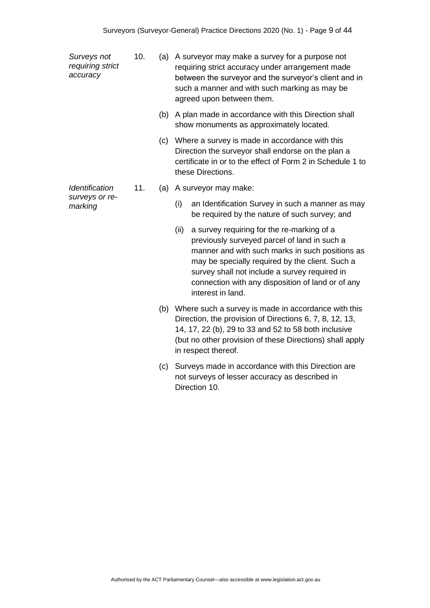*Surveys not requiring strict accuracy*

*Identification surveys or remarking*

- 10. (a) A surveyor may make a survey for a purpose not requiring strict accuracy under arrangement made between the surveyor and the surveyor's client and in such a manner and with such marking as may be agreed upon between them.
	- (b) A plan made in accordance with this Direction shall show monuments as approximately located.
	- (c) Where a survey is made in accordance with this Direction the surveyor shall endorse on the plan a certificate in or to the effect of Form 2 in Schedule 1 to these Directions.
- 11. (a) A surveyor may make:
	- (i) an Identification Survey in such a manner as may be required by the nature of such survey; and
	- (ii) a survey requiring for the re-marking of a previously surveyed parcel of land in such a manner and with such marks in such positions as may be specially required by the client. Such a survey shall not include a survey required in connection with any disposition of land or of any interest in land.
	- (b) Where such a survey is made in accordance with this Direction, the provision of Directions 6, 7, 8, 12, 13, 14, 17, 22 (b), 29 to 33 and 52 to 58 both inclusive (but no other provision of these Directions) shall apply in respect thereof.
	- (c) Surveys made in accordance with this Direction are not surveys of lesser accuracy as described in Direction 10.

Authorised by the ACT Parliamentary Counsel—also accessible at www.legislation.act.gov.au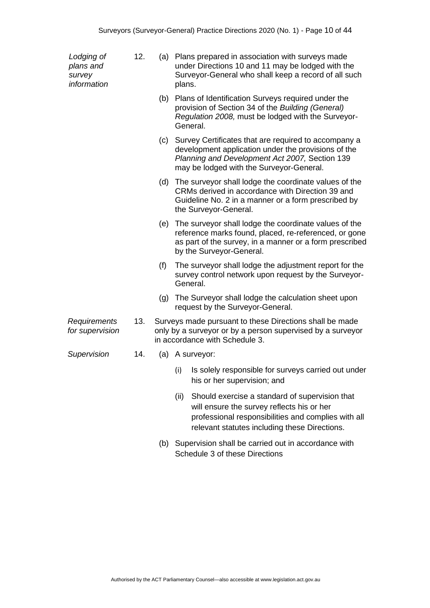| Lodging of<br>plans and<br>survey<br>information | 12. | (a) | plans.   | Plans prepared in association with surveys made<br>under Directions 10 and 11 may be lodged with the<br>Surveyor-General who shall keep a record of all such                                                  |  |                                                                                                                                                                                                           |
|--------------------------------------------------|-----|-----|----------|---------------------------------------------------------------------------------------------------------------------------------------------------------------------------------------------------------------|--|-----------------------------------------------------------------------------------------------------------------------------------------------------------------------------------------------------------|
|                                                  |     |     | General. | (b) Plans of Identification Surveys required under the<br>provision of Section 34 of the Building (General)<br>Regulation 2008, must be lodged with the Surveyor-                                             |  |                                                                                                                                                                                                           |
|                                                  |     |     |          | (c) Survey Certificates that are required to accompany a<br>development application under the provisions of the<br>Planning and Development Act 2007, Section 139<br>may be lodged with the Surveyor-General. |  |                                                                                                                                                                                                           |
|                                                  |     |     |          | (d) The surveyor shall lodge the coordinate values of the<br>CRMs derived in accordance with Direction 39 and<br>Guideline No. 2 in a manner or a form prescribed by<br>the Surveyor-General.                 |  |                                                                                                                                                                                                           |
|                                                  |     |     |          |                                                                                                                                                                                                               |  | (e) The surveyor shall lodge the coordinate values of the<br>reference marks found, placed, re-referenced, or gone<br>as part of the survey, in a manner or a form prescribed<br>by the Surveyor-General. |
|                                                  |     | (f) | General. | The surveyor shall lodge the adjustment report for the<br>survey control network upon request by the Surveyor-                                                                                                |  |                                                                                                                                                                                                           |
|                                                  |     | (g) |          | The Surveyor shall lodge the calculation sheet upon<br>request by the Surveyor-General.                                                                                                                       |  |                                                                                                                                                                                                           |
| Requirements<br>for supervision                  | 13. |     |          | Surveys made pursuant to these Directions shall be made<br>only by a surveyor or by a person supervised by a surveyor<br>in accordance with Schedule 3.                                                       |  |                                                                                                                                                                                                           |
| Supervision                                      | 14. |     |          | (a) A surveyor:                                                                                                                                                                                               |  |                                                                                                                                                                                                           |
|                                                  |     |     | (i)      | Is solely responsible for surveys carried out under<br>his or her supervision; and                                                                                                                            |  |                                                                                                                                                                                                           |
|                                                  |     |     | (ii)     | Should exercise a standard of supervision that<br>will ensure the survey reflects his or her<br>professional responsibilities and complies with all<br>relevant statutes including these Directions.          |  |                                                                                                                                                                                                           |

 (b) Supervision shall be carried out in accordance with Schedule 3 of these Directions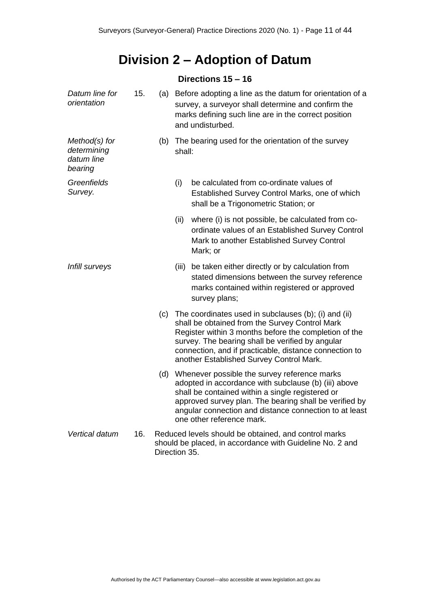# **Division 2 – Adoption of Datum**

### **Directions 15 – 16**

<span id="page-10-1"></span><span id="page-10-0"></span>

| Datum line for<br>orientation                         | 15. |     | (a) Before adopting a line as the datum for orientation of a<br>survey, a surveyor shall determine and confirm the<br>marks defining such line are in the correct position<br>and undisturbed.                                                                                                                            |  |  |
|-------------------------------------------------------|-----|-----|---------------------------------------------------------------------------------------------------------------------------------------------------------------------------------------------------------------------------------------------------------------------------------------------------------------------------|--|--|
| Method(s) for<br>determining<br>datum line<br>bearing |     | (b) | The bearing used for the orientation of the survey<br>shall:                                                                                                                                                                                                                                                              |  |  |
| Greenfields<br>Survey.                                |     |     | (i)<br>be calculated from co-ordinate values of<br>Established Survey Control Marks, one of which<br>shall be a Trigonometric Station; or                                                                                                                                                                                 |  |  |
|                                                       |     |     | (ii)<br>where (i) is not possible, be calculated from co-<br>ordinate values of an Established Survey Control<br>Mark to another Established Survey Control<br>Mark; or                                                                                                                                                   |  |  |
| Infill surveys                                        |     |     | be taken either directly or by calculation from<br>(iii)<br>stated dimensions between the survey reference<br>marks contained within registered or approved<br>survey plans;                                                                                                                                              |  |  |
|                                                       |     | (c) | The coordinates used in subclauses (b); (i) and (ii)<br>shall be obtained from the Survey Control Mark<br>Register within 3 months before the completion of the<br>survey. The bearing shall be verified by angular<br>connection, and if practicable, distance connection to<br>another Established Survey Control Mark. |  |  |
|                                                       |     | (d) | Whenever possible the survey reference marks<br>adopted in accordance with subclause (b) (iii) above<br>shall be contained within a single registered or<br>approved survey plan. The bearing shall be verified by<br>angular connection and distance connection to at least<br>one other reference mark.                 |  |  |
| Vertical datum                                        | 16. |     | Reduced levels should be obtained, and control marks<br>should be placed, in accordance with Guideline No. 2 and<br>Direction 35.                                                                                                                                                                                         |  |  |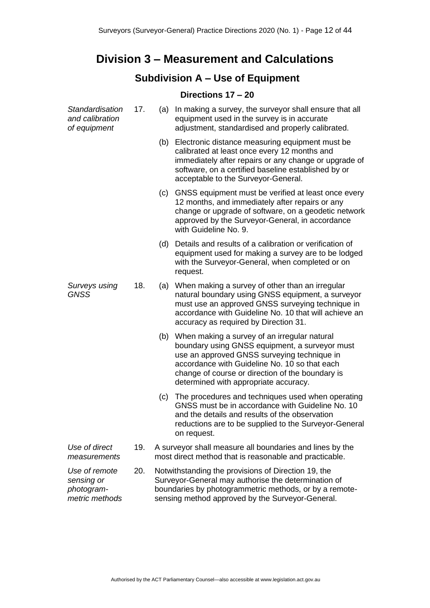## <span id="page-11-0"></span>**Division 3 – Measurement and Calculations**

## **Subdivision A – Use of Equipment**

#### **Directions 17 – 20**

<span id="page-11-2"></span><span id="page-11-1"></span>

| Standardisation<br>and calibration<br>of equipment          | 17. |     | (a) In making a survey, the surveyor shall ensure that all<br>equipment used in the survey is in accurate<br>adjustment, standardised and properly calibrated.                                                                                                                              |
|-------------------------------------------------------------|-----|-----|---------------------------------------------------------------------------------------------------------------------------------------------------------------------------------------------------------------------------------------------------------------------------------------------|
|                                                             |     |     | (b) Electronic distance measuring equipment must be<br>calibrated at least once every 12 months and<br>immediately after repairs or any change or upgrade of<br>software, on a certified baseline established by or<br>acceptable to the Surveyor-General.                                  |
|                                                             |     | (c) | GNSS equipment must be verified at least once every<br>12 months, and immediately after repairs or any<br>change or upgrade of software, on a geodetic network<br>approved by the Surveyor-General, in accordance<br>with Guideline No. 9.                                                  |
|                                                             |     |     | (d) Details and results of a calibration or verification of<br>equipment used for making a survey are to be lodged<br>with the Surveyor-General, when completed or on<br>request.                                                                                                           |
| Surveys using<br><b>GNSS</b>                                | 18. | (a) | When making a survey of other than an irregular<br>natural boundary using GNSS equipment, a surveyor<br>must use an approved GNSS surveying technique in<br>accordance with Guideline No. 10 that will achieve an<br>accuracy as required by Direction 31.                                  |
|                                                             |     | (b) | When making a survey of an irregular natural<br>boundary using GNSS equipment, a surveyor must<br>use an approved GNSS surveying technique in<br>accordance with Guideline No. 10 so that each<br>change of course or direction of the boundary is<br>determined with appropriate accuracy. |
|                                                             |     | (c) | The procedures and techniques used when operating<br>GNSS must be in accordance with Guideline No. 10<br>and the details and results of the observation<br>reductions are to be supplied to the Surveyor-General<br>on request.                                                             |
| Use of direct<br>measurements                               | 19. |     | A surveyor shall measure all boundaries and lines by the<br>most direct method that is reasonable and practicable.                                                                                                                                                                          |
| Use of remote<br>sensing or<br>photogram-<br>metric methods | 20. |     | Notwithstanding the provisions of Direction 19, the<br>Surveyor-General may authorise the determination of<br>boundaries by photogrammetric methods, or by a remote-<br>sensing method approved by the Surveyor-General.                                                                    |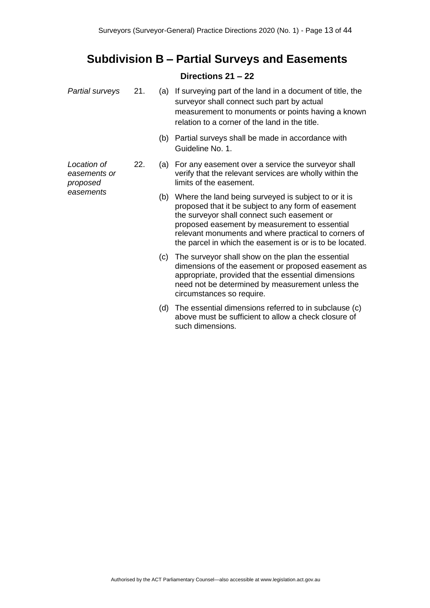## <span id="page-12-0"></span>**Subdivision B – Partial Surveys and Easements**

### **Directions 21 – 22**

<span id="page-12-1"></span>

| Partial surveys                         | 21. |     | (a) If surveying part of the land in a document of title, the<br>surveyor shall connect such part by actual<br>measurement to monuments or points having a known<br>relation to a corner of the land in the title.                                                                                                              |
|-----------------------------------------|-----|-----|---------------------------------------------------------------------------------------------------------------------------------------------------------------------------------------------------------------------------------------------------------------------------------------------------------------------------------|
|                                         |     | (b) | Partial surveys shall be made in accordance with<br>Guideline No. 1.                                                                                                                                                                                                                                                            |
| Location of<br>easements or<br>proposed | 22. | (a) | For any easement over a service the surveyor shall<br>verify that the relevant services are wholly within the<br>limits of the easement.                                                                                                                                                                                        |
| easements                               |     | (b) | Where the land being surveyed is subject to or it is<br>proposed that it be subject to any form of easement<br>the surveyor shall connect such easement or<br>proposed easement by measurement to essential<br>relevant monuments and where practical to corners of<br>the parcel in which the easement is or is to be located. |
|                                         |     | (c) | The surveyor shall show on the plan the essential<br>dimensions of the easement or proposed easement as<br>appropriate, provided that the essential dimensions<br>need not be determined by measurement unless the<br>circumstances so require.                                                                                 |
|                                         |     | (d) | The essential dimensions referred to in subclause (c)<br>above must be sufficient to allow a check closure of<br>such dimensions.                                                                                                                                                                                               |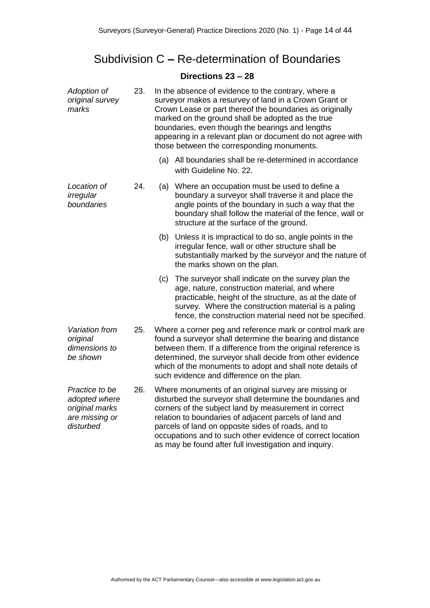## <span id="page-13-0"></span>Subdivision C **–** Re-determination of Boundaries

### **Directions 23 – 28**

<span id="page-13-1"></span>

| Adoption of<br>original survey<br>marks                                          | 23. | In the absence of evidence to the contrary, where a<br>surveyor makes a resurvey of land in a Crown Grant or<br>Crown Lease or part thereof the boundaries as originally<br>marked on the ground shall be adopted as the true<br>boundaries, even though the bearings and lengths<br>appearing in a relevant plan or document do not agree with<br>those between the corresponding monuments. |                                                                                                                                                                                                                                                                                                                                                                                                                   |  |
|----------------------------------------------------------------------------------|-----|-----------------------------------------------------------------------------------------------------------------------------------------------------------------------------------------------------------------------------------------------------------------------------------------------------------------------------------------------------------------------------------------------|-------------------------------------------------------------------------------------------------------------------------------------------------------------------------------------------------------------------------------------------------------------------------------------------------------------------------------------------------------------------------------------------------------------------|--|
|                                                                                  |     |                                                                                                                                                                                                                                                                                                                                                                                               | (a) All boundaries shall be re-determined in accordance<br>with Guideline No. 22.                                                                                                                                                                                                                                                                                                                                 |  |
| Location of<br>irregular<br>boundaries                                           | 24. | (a)                                                                                                                                                                                                                                                                                                                                                                                           | Where an occupation must be used to define a<br>boundary a surveyor shall traverse it and place the<br>angle points of the boundary in such a way that the<br>boundary shall follow the material of the fence, wall or<br>structure at the surface of the ground.                                                                                                                                                 |  |
|                                                                                  |     | (b)                                                                                                                                                                                                                                                                                                                                                                                           | Unless it is impractical to do so, angle points in the<br>irregular fence, wall or other structure shall be<br>substantially marked by the surveyor and the nature of<br>the marks shown on the plan.                                                                                                                                                                                                             |  |
|                                                                                  |     | (c)                                                                                                                                                                                                                                                                                                                                                                                           | The surveyor shall indicate on the survey plan the<br>age, nature, construction material, and where<br>practicable, height of the structure, as at the date of<br>survey. Where the construction material is a paling<br>fence, the construction material need not be specified.                                                                                                                                  |  |
| Variation from<br>original<br>dimensions to<br>be shown                          | 25. | Where a corner peg and reference mark or control mark are<br>found a surveyor shall determine the bearing and distance<br>between them. If a difference from the original reference is<br>determined, the surveyor shall decide from other evidence<br>which of the monuments to adopt and shall note details of<br>such evidence and difference on the plan.                                 |                                                                                                                                                                                                                                                                                                                                                                                                                   |  |
| Practice to be<br>adopted where<br>original marks<br>are missing or<br>disturbed | 26. |                                                                                                                                                                                                                                                                                                                                                                                               | Where monuments of an original survey are missing or<br>disturbed the surveyor shall determine the boundaries and<br>corners of the subject land by measurement in correct<br>relation to boundaries of adjacent parcels of land and<br>parcels of land on opposite sides of roads, and to<br>occupations and to such other evidence of correct location<br>as may be found after full investigation and inquiry. |  |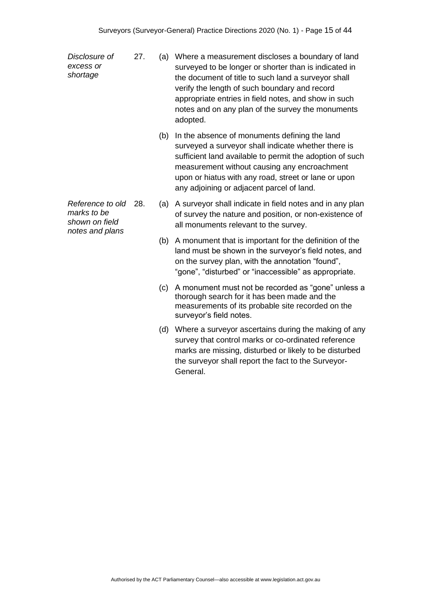*Disclosure of excess or shortage*

- 27. (a) Where a measurement discloses a boundary of land surveyed to be longer or shorter than is indicated in the document of title to such land a surveyor shall verify the length of such boundary and record appropriate entries in field notes, and show in such notes and on any plan of the survey the monuments adopted.
	- (b) In the absence of monuments defining the land surveyed a surveyor shall indicate whether there is sufficient land available to permit the adoption of such measurement without causing any encroachment upon or hiatus with any road, street or lane or upon any adjoining or adjacent parcel of land.
	- (a) A surveyor shall indicate in field notes and in any plan of survey the nature and position, or non-existence of all monuments relevant to the survey.
	- (b) A monument that is important for the definition of the land must be shown in the surveyor's field notes, and on the survey plan, with the annotation "found", "gone", "disturbed" or "inaccessible" as appropriate.
	- (c) A monument must not be recorded as "gone" unless a thorough search for it has been made and the measurements of its probable site recorded on the surveyor's field notes.
	- (d) Where a surveyor ascertains during the making of any survey that control marks or co-ordinated reference marks are missing, disturbed or likely to be disturbed the surveyor shall report the fact to the Surveyor-General.

*Reference to old marks to be shown on field notes and plans*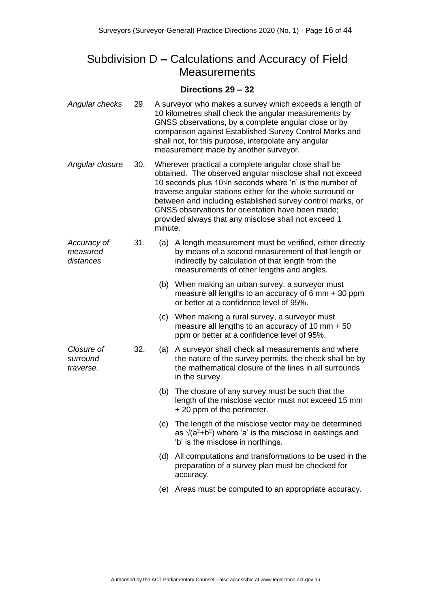## <span id="page-15-0"></span>Subdivision D **–** Calculations and Accuracy of Field **Measurements**

#### **Directions 29 – 32**

<span id="page-15-1"></span>

| Angular checks                       | 29. | A surveyor who makes a survey which exceeds a length of<br>10 kilometres shall check the angular measurements by<br>GNSS observations, by a complete angular close or by<br>comparison against Established Survey Control Marks and<br>shall not, for this purpose, interpolate any angular<br>measurement made by another surveyor.                                                                                                     |                                                                                                                                                                                                                |  |  |  |
|--------------------------------------|-----|------------------------------------------------------------------------------------------------------------------------------------------------------------------------------------------------------------------------------------------------------------------------------------------------------------------------------------------------------------------------------------------------------------------------------------------|----------------------------------------------------------------------------------------------------------------------------------------------------------------------------------------------------------------|--|--|--|
| Angular closure                      | 30. | Wherever practical a complete angular close shall be<br>obtained. The observed angular misclose shall not exceed<br>10 seconds plus 10 $\sqrt{n}$ seconds where 'n' is the number of<br>traverse angular stations either for the whole surround or<br>between and including established survey control marks, or<br>GNSS observations for orientation have been made;<br>provided always that any misclose shall not exceed 1<br>minute. |                                                                                                                                                                                                                |  |  |  |
| Accuracy of<br>measured<br>distances | 31. | (a)                                                                                                                                                                                                                                                                                                                                                                                                                                      | A length measurement must be verified, either directly<br>by means of a second measurement of that length or<br>indirectly by calculation of that length from the<br>measurements of other lengths and angles. |  |  |  |
|                                      |     |                                                                                                                                                                                                                                                                                                                                                                                                                                          | (b) When making an urban survey, a surveyor must<br>measure all lengths to an accuracy of 6 mm $+$ 30 ppm<br>or better at a confidence level of 95%.                                                           |  |  |  |
|                                      |     | (c)                                                                                                                                                                                                                                                                                                                                                                                                                                      | When making a rural survey, a surveyor must<br>measure all lengths to an accuracy of 10 mm $+50$<br>ppm or better at a confidence level of 95%.                                                                |  |  |  |
| Closure of<br>surround<br>traverse.  | 32. | (a)                                                                                                                                                                                                                                                                                                                                                                                                                                      | A surveyor shall check all measurements and where<br>the nature of the survey permits, the check shall be by<br>the mathematical closure of the lines in all surrounds<br>in the survey.                       |  |  |  |
|                                      |     | (b)                                                                                                                                                                                                                                                                                                                                                                                                                                      | The closure of any survey must be such that the<br>length of the misclose vector must not exceed 15 mm<br>+ 20 ppm of the perimeter.                                                                           |  |  |  |
|                                      |     |                                                                                                                                                                                                                                                                                                                                                                                                                                          | (c) The length of the misclose vector may be determined<br>as $\sqrt{(a^2+b^2)}$ where 'a' is the misclose in eastings and<br>'b' is the misclose in northings.                                                |  |  |  |
|                                      |     | (d)                                                                                                                                                                                                                                                                                                                                                                                                                                      | All computations and transformations to be used in the<br>preparation of a survey plan must be checked for<br>accuracy.                                                                                        |  |  |  |
|                                      |     |                                                                                                                                                                                                                                                                                                                                                                                                                                          | (e) Areas must be computed to an appropriate accuracy.                                                                                                                                                         |  |  |  |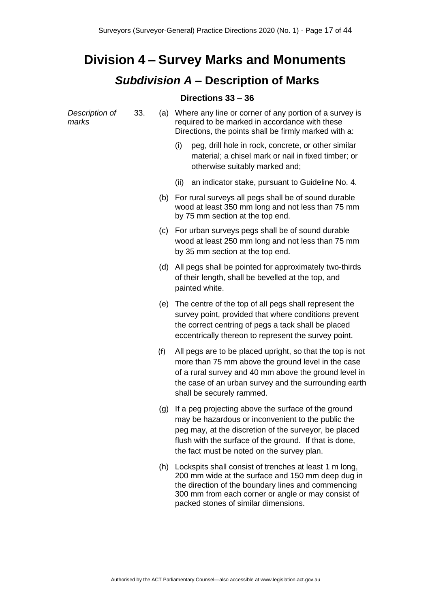# <span id="page-16-1"></span><span id="page-16-0"></span>**Division 4 – Survey Marks and Monuments**

## *Subdivision A* **– Description of Marks**

### **Directions 33 – 36**

<span id="page-16-2"></span>

| Description of<br>marks | 33. |     | (a) Where any line or corner of any portion of a survey is<br>required to be marked in accordance with these<br>Directions, the points shall be firmly marked with a:                                                                                                      |
|-------------------------|-----|-----|----------------------------------------------------------------------------------------------------------------------------------------------------------------------------------------------------------------------------------------------------------------------------|
|                         |     |     | (i)<br>peg, drill hole in rock, concrete, or other similar<br>material; a chisel mark or nail in fixed timber; or<br>otherwise suitably marked and;                                                                                                                        |
|                         |     |     | an indicator stake, pursuant to Guideline No. 4.<br>(ii)                                                                                                                                                                                                                   |
|                         |     | (b) | For rural surveys all pegs shall be of sound durable<br>wood at least 350 mm long and not less than 75 mm<br>by 75 mm section at the top end.                                                                                                                              |
|                         |     |     | (c) For urban surveys pegs shall be of sound durable<br>wood at least 250 mm long and not less than 75 mm<br>by 35 mm section at the top end.                                                                                                                              |
|                         |     | (d) | All pegs shall be pointed for approximately two-thirds<br>of their length, shall be bevelled at the top, and<br>painted white.                                                                                                                                             |
|                         |     |     | (e) The centre of the top of all pegs shall represent the<br>survey point, provided that where conditions prevent<br>the correct centring of pegs a tack shall be placed<br>eccentrically thereon to represent the survey point.                                           |
|                         |     | (f) | All pegs are to be placed upright, so that the top is not<br>more than 75 mm above the ground level in the case<br>of a rural survey and 40 mm above the ground level in<br>the case of an urban survey and the surrounding earth<br>shall be securely rammed.             |
|                         |     | (g) | If a peg projecting above the surface of the ground<br>may be hazardous or inconvenient to the public the<br>peg may, at the discretion of the surveyor, be placed<br>flush with the surface of the ground. If that is done,<br>the fact must be noted on the survey plan. |
|                         |     | (h) | Lockspits shall consist of trenches at least 1 m long,<br>200 mm wide at the surface and 150 mm deep dug in<br>the direction of the boundary lines and commencing<br>300 mm from each corner or angle or may consist of                                                    |

packed stones of similar dimensions.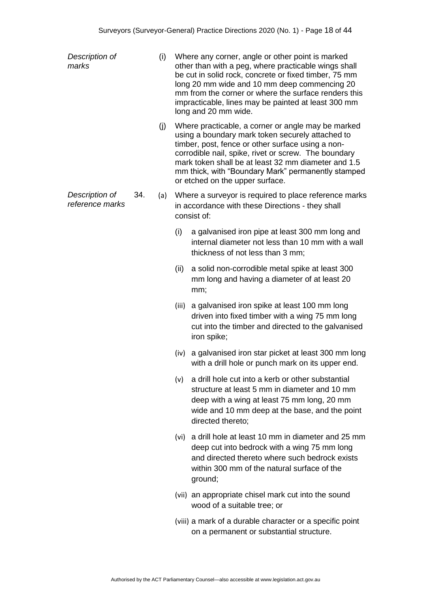| Description of<br>marks           |     | (i) | Where any corner, angle or other point is marked<br>other than with a peg, where practicable wings shall<br>be cut in solid rock, concrete or fixed timber, 75 mm<br>long 20 mm wide and 10 mm deep commencing 20<br>mm from the corner or where the surface renders this<br>impracticable, lines may be painted at least 300 mm<br>long and 20 mm wide. |                                                                                                                                                                                                                                                                                                                                                                     |
|-----------------------------------|-----|-----|----------------------------------------------------------------------------------------------------------------------------------------------------------------------------------------------------------------------------------------------------------------------------------------------------------------------------------------------------------|---------------------------------------------------------------------------------------------------------------------------------------------------------------------------------------------------------------------------------------------------------------------------------------------------------------------------------------------------------------------|
|                                   |     | (j) |                                                                                                                                                                                                                                                                                                                                                          | Where practicable, a corner or angle may be marked<br>using a boundary mark token securely attached to<br>timber, post, fence or other surface using a non-<br>corrodible nail, spike, rivet or screw. The boundary<br>mark token shall be at least 32 mm diameter and 1.5<br>mm thick, with "Boundary Mark" permanently stamped<br>or etched on the upper surface. |
| Description of<br>reference marks | 34. | (a) |                                                                                                                                                                                                                                                                                                                                                          | Where a surveyor is required to place reference marks<br>in accordance with these Directions - they shall<br>consist of:                                                                                                                                                                                                                                            |
|                                   |     |     | (i)                                                                                                                                                                                                                                                                                                                                                      | a galvanised iron pipe at least 300 mm long and<br>internal diameter not less than 10 mm with a wall<br>thickness of not less than 3 mm;                                                                                                                                                                                                                            |
|                                   |     |     | (ii)                                                                                                                                                                                                                                                                                                                                                     | a solid non-corrodible metal spike at least 300<br>mm long and having a diameter of at least 20<br>mm;                                                                                                                                                                                                                                                              |
|                                   |     |     |                                                                                                                                                                                                                                                                                                                                                          | (iii) a galvanised iron spike at least 100 mm long<br>driven into fixed timber with a wing 75 mm long<br>cut into the timber and directed to the galvanised<br>iron spike;                                                                                                                                                                                          |
|                                   |     |     |                                                                                                                                                                                                                                                                                                                                                          | (iv) a galvanised iron star picket at least 300 mm long<br>with a drill hole or punch mark on its upper end.                                                                                                                                                                                                                                                        |
|                                   |     |     | (v)                                                                                                                                                                                                                                                                                                                                                      | a drill hole cut into a kerb or other substantial<br>structure at least 5 mm in diameter and 10 mm<br>deep with a wing at least 75 mm long, 20 mm<br>wide and 10 mm deep at the base, and the point<br>directed thereto;                                                                                                                                            |
|                                   |     |     |                                                                                                                                                                                                                                                                                                                                                          | (vi) a drill hole at least 10 mm in diameter and 25 mm<br>deep cut into bedrock with a wing 75 mm long<br>and directed thereto where such bedrock exists<br>within 300 mm of the natural surface of the<br>ground;                                                                                                                                                  |
|                                   |     |     |                                                                                                                                                                                                                                                                                                                                                          | (vii) an appropriate chisel mark cut into the sound<br>wood of a suitable tree; or                                                                                                                                                                                                                                                                                  |
|                                   |     |     |                                                                                                                                                                                                                                                                                                                                                          | (viii) a mark of a durable character or a specific point<br>on a permanent or substantial structure.                                                                                                                                                                                                                                                                |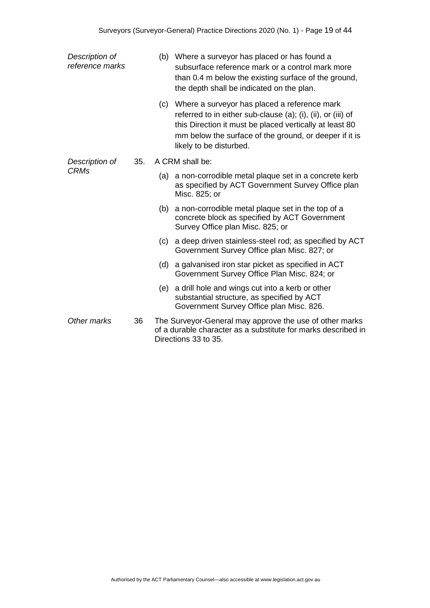| Description of<br>reference marks |     |     | (b) Where a surveyor has placed or has found a<br>subsurface reference mark or a control mark more<br>than 0.4 m below the existing surface of the ground,<br>the depth shall be indicated on the plan.                                                          |  |  |
|-----------------------------------|-----|-----|------------------------------------------------------------------------------------------------------------------------------------------------------------------------------------------------------------------------------------------------------------------|--|--|
|                                   |     |     | (c) Where a surveyor has placed a reference mark<br>referred to in either sub-clause (a); (i), (ii), or (iii) of<br>this Direction it must be placed vertically at least 80<br>mm below the surface of the ground, or deeper if it is<br>likely to be disturbed. |  |  |
| Description of                    | 35. |     | A CRM shall be:                                                                                                                                                                                                                                                  |  |  |
| <b>CRMs</b>                       |     |     | (a) a non-corrodible metal plaque set in a concrete kerb<br>as specified by ACT Government Survey Office plan<br>Misc. 825; or                                                                                                                                   |  |  |
|                                   |     |     | (b) a non-corrodible metal plaque set in the top of a<br>concrete block as specified by ACT Government<br>Survey Office plan Misc. 825; or                                                                                                                       |  |  |
|                                   |     | (c) | a deep driven stainless-steel rod; as specified by ACT<br>Government Survey Office plan Misc. 827; or                                                                                                                                                            |  |  |
|                                   |     | (d) | a galvanised iron star picket as specified in ACT<br>Government Survey Office Plan Misc. 824; or                                                                                                                                                                 |  |  |
|                                   |     | (e) | a drill hole and wings cut into a kerb or other<br>substantial structure, as specified by ACT<br>Government Survey Office plan Misc. 826.                                                                                                                        |  |  |
| Other marks                       | 36  |     | The Surveyor-General may approve the use of other marks<br>of a durable character as a substitute for marks described in<br>Directions 33 to 35.                                                                                                                 |  |  |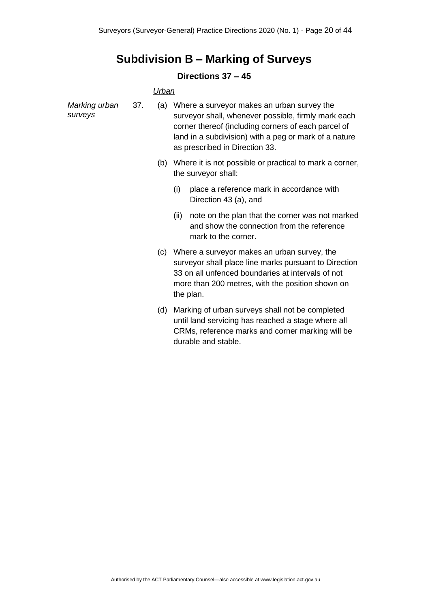## **Subdivision B – Marking of Surveys**

### **Directions 37 – 45**

#### *Urban*

<span id="page-19-1"></span><span id="page-19-0"></span>

| Marking urban<br>surveys | 37. | (a) | Where a surveyor makes an urban survey the<br>surveyor shall, whenever possible, firmly mark each<br>corner thereof (including corners of each parcel of<br>land in a subdivision) with a peg or mark of a nature<br>as prescribed in Direction 33. |
|--------------------------|-----|-----|-----------------------------------------------------------------------------------------------------------------------------------------------------------------------------------------------------------------------------------------------------|
|                          |     | (b) | Where it is not possible or practical to mark a corner,<br>the surveyor shall:                                                                                                                                                                      |
|                          |     |     | (i)<br>place a reference mark in accordance with<br>Direction 43 (a), and                                                                                                                                                                           |
|                          |     |     | note on the plan that the corner was not marked<br>(ii)<br>and show the connection from the reference<br>mark to the corner.                                                                                                                        |
|                          |     | (c) | Where a surveyor makes an urban survey, the<br>surveyor shall place line marks pursuant to Direction<br>33 on all unfenced boundaries at intervals of not<br>more than 200 metres, with the position shown on<br>the plan.                          |
|                          |     | (d) | Marking of urban surveys shall not be completed<br>until land servicing has reached a stage where all<br>CRMs, reference marks and corner marking will be<br>durable and stable.                                                                    |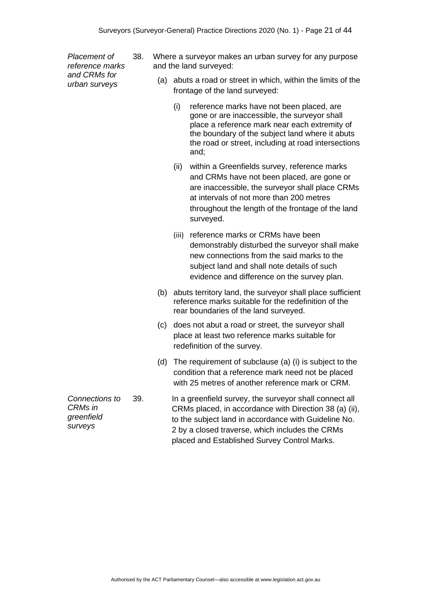*Placement of reference marks and CRMs for urban surveys*

- 38. Where a surveyor makes an urban survey for any purpose and the land surveyed:
	- (a) abuts a road or street in which, within the limits of the frontage of the land surveyed:
		- (i) reference marks have not been placed, are gone or are inaccessible, the surveyor shall place a reference mark near each extremity of the boundary of the subject land where it abuts the road or street, including at road intersections and;
		- (ii) within a Greenfields survey, reference marks and CRMs have not been placed, are gone or are inaccessible, the surveyor shall place CRMs at intervals of not more than 200 metres throughout the length of the frontage of the land surveyed.
		- (iii) reference marks or CRMs have been demonstrably disturbed the surveyor shall make new connections from the said marks to the subject land and shall note details of such evidence and difference on the survey plan.
	- (b) abuts territory land, the surveyor shall place sufficient reference marks suitable for the redefinition of the rear boundaries of the land surveyed.
	- (c) does not abut a road or street, the surveyor shall place at least two reference marks suitable for redefinition of the survey.
	- (d) The requirement of subclause (a) (i) is subject to the condition that a reference mark need not be placed with 25 metres of another reference mark or CRM.
- 39. In a greenfield survey, the surveyor shall connect all CRMs placed, in accordance with Direction 38 (a) (ii), to the subject land in accordance with Guideline No. 2 by a closed traverse, which includes the CRMs placed and Established Survey Control Marks.

*Connections to CRMs in greenfield surveys*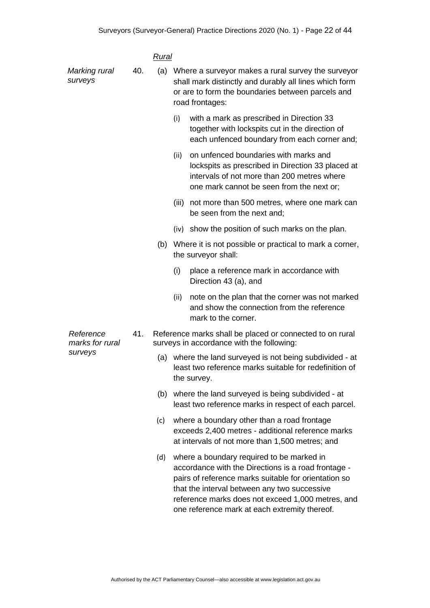|                              |     | Rural |      |                                                                                                                                                                                                                                                               |  |
|------------------------------|-----|-------|------|---------------------------------------------------------------------------------------------------------------------------------------------------------------------------------------------------------------------------------------------------------------|--|
| Marking rural<br>surveys     | 40. |       |      | (a) Where a surveyor makes a rural survey the surveyor<br>shall mark distinctly and durably all lines which form<br>or are to form the boundaries between parcels and<br>road frontages:                                                                      |  |
|                              |     |       | (i)  | with a mark as prescribed in Direction 33<br>together with lockspits cut in the direction of<br>each unfenced boundary from each corner and;                                                                                                                  |  |
|                              |     |       | (ii) | on unfenced boundaries with marks and<br>lockspits as prescribed in Direction 33 placed at<br>intervals of not more than 200 metres where<br>one mark cannot be seen from the next or;                                                                        |  |
|                              |     |       |      | (iii) not more than 500 metres, where one mark can<br>be seen from the next and;                                                                                                                                                                              |  |
|                              |     |       |      | (iv) show the position of such marks on the plan.                                                                                                                                                                                                             |  |
|                              |     |       |      | (b) Where it is not possible or practical to mark a corner,<br>the surveyor shall:                                                                                                                                                                            |  |
|                              |     |       | (i)  | place a reference mark in accordance with<br>Direction 43 (a), and                                                                                                                                                                                            |  |
|                              |     |       | (ii) | note on the plan that the corner was not marked<br>and show the connection from the reference<br>mark to the corner.                                                                                                                                          |  |
| Reference<br>marks for rural | 41. |       |      | Reference marks shall be placed or connected to on rural<br>surveys in accordance with the following:                                                                                                                                                         |  |
| surveys                      |     |       |      | (a) where the land surveyed is not being subdivided - at<br>least two reference marks suitable for redefinition of<br>the survey.                                                                                                                             |  |
|                              |     |       |      | (b) where the land surveyed is being subdivided - at<br>least two reference marks in respect of each parcel.                                                                                                                                                  |  |
|                              |     | (c)   |      | where a boundary other than a road frontage<br>exceeds 2,400 metres - additional reference marks<br>at intervals of not more than 1,500 metres; and                                                                                                           |  |
|                              |     | (d)   |      | where a boundary required to be marked in<br>accordance with the Directions is a road frontage -<br>pairs of reference marks suitable for orientation so<br>that the interval between any two successive<br>reference marks does not exceed 1,000 metres, and |  |

reference marks does not exceed 1,000 metres, and one reference mark at each extremity thereof.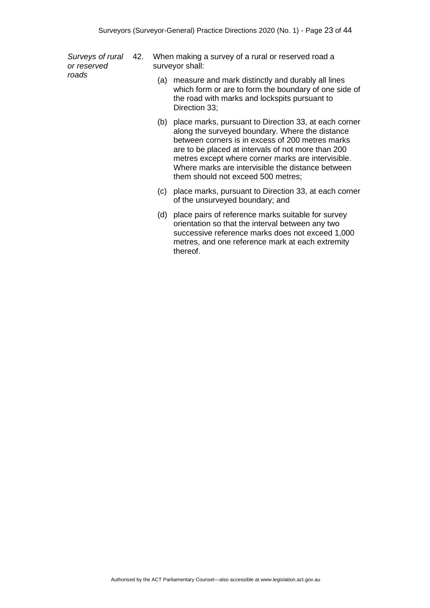*Surveys of rural or reserved roads* 

When making a survey of a rural or reserved road a surveyor shall:

- (a) measure and mark distinctly and durably all lines which form or are to form the boundary of one side of the road with marks and lockspits pursuant to Direction 33;
- (b) place marks, pursuant to Direction 33, at each corner along the surveyed boundary. Where the distance between corners is in excess of 200 metres marks are to be placed at intervals of not more than 200 metres except where corner marks are intervisible. Where marks are intervisible the distance between them should not exceed 500 metres;
- (c) place marks, pursuant to Direction 33, at each corner of the unsurveyed boundary; and
- (d) place pairs of reference marks suitable for survey orientation so that the interval between any two successive reference marks does not exceed 1,000 metres, and one reference mark at each extremity thereof.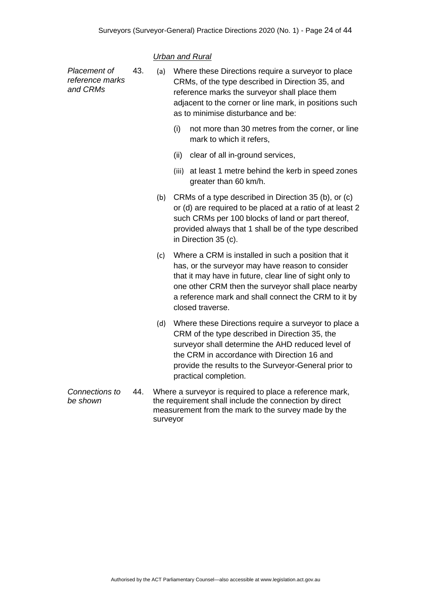### *Urban and Rural*

| Placement of<br>reference marks<br>and CRMs | 43. | (a) | Where these Directions require a surveyor to place<br>CRMs, of the type described in Direction 35, and<br>reference marks the surveyor shall place them<br>adjacent to the corner or line mark, in positions such<br>as to minimise disturbance and be:                                             |
|---------------------------------------------|-----|-----|-----------------------------------------------------------------------------------------------------------------------------------------------------------------------------------------------------------------------------------------------------------------------------------------------------|
|                                             |     |     | (i)<br>not more than 30 metres from the corner, or line<br>mark to which it refers,                                                                                                                                                                                                                 |
|                                             |     |     | clear of all in-ground services,<br>(ii)                                                                                                                                                                                                                                                            |
|                                             |     |     | at least 1 metre behind the kerb in speed zones<br>(iii)<br>greater than 60 km/h.                                                                                                                                                                                                                   |
|                                             |     | (b) | CRMs of a type described in Direction 35 (b), or (c)<br>or (d) are required to be placed at a ratio of at least 2<br>such CRMs per 100 blocks of land or part thereof,<br>provided always that 1 shall be of the type described<br>in Direction 35 (c).                                             |
|                                             |     | (c) | Where a CRM is installed in such a position that it<br>has, or the surveyor may have reason to consider<br>that it may have in future, clear line of sight only to<br>one other CRM then the surveyor shall place nearby<br>a reference mark and shall connect the CRM to it by<br>closed traverse. |
|                                             |     | (d) | Where these Directions require a surveyor to place a<br>CRM of the type described in Direction 35, the<br>surveyor shall determine the AHD reduced level of<br>the CRM in accordance with Direction 16 and<br>provide the results to the Surveyor-General prior to<br>practical completion.         |
| Connections to<br>be shown                  | 44. |     | Where a surveyor is required to place a reference mark,<br>the requirement shall include the connection by direct                                                                                                                                                                                   |

measurement from the mark to the survey made by the surveyor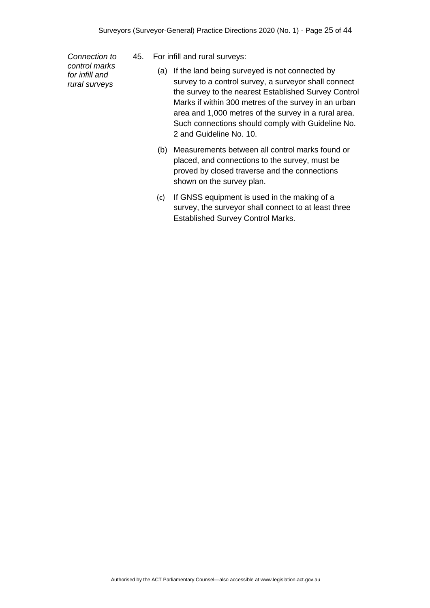*Connection to control marks for infill and rural surveys*

- 45. For infill and rural surveys:
	- (a) If the land being surveyed is not connected by survey to a control survey, a surveyor shall connect the survey to the nearest Established Survey Control Marks if within 300 metres of the survey in an urban area and 1,000 metres of the survey in a rural area. Such connections should comply with Guideline No. 2 and Guideline No. 10.
	- (b) Measurements between all control marks found or placed, and connections to the survey, must be proved by closed traverse and the connections shown on the survey plan.
	- (c) If GNSS equipment is used in the making of a survey, the surveyor shall connect to at least three Established Survey Control Marks.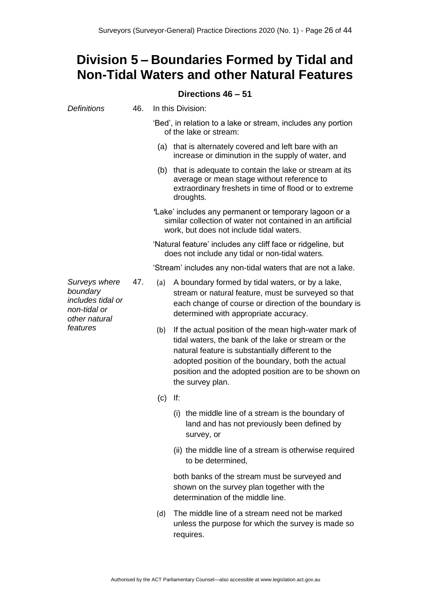# <span id="page-25-0"></span>**Division 5 – Boundaries Formed by Tidal and Non-Tidal Waters and other Natural Features**

#### **Directions 46 – 51**

<span id="page-25-1"></span>

| <b>Definitions</b>                                                              | 46. |     | In this Division:                                                                                                                                                                                                                                                                                  |
|---------------------------------------------------------------------------------|-----|-----|----------------------------------------------------------------------------------------------------------------------------------------------------------------------------------------------------------------------------------------------------------------------------------------------------|
|                                                                                 |     |     | 'Bed', in relation to a lake or stream, includes any portion<br>of the lake or stream:                                                                                                                                                                                                             |
|                                                                                 |     |     | (a) that is alternately covered and left bare with an<br>increase or diminution in the supply of water, and                                                                                                                                                                                        |
|                                                                                 |     |     | (b) that is adequate to contain the lake or stream at its<br>average or mean stage without reference to<br>extraordinary freshets in time of flood or to extreme<br>droughts.                                                                                                                      |
|                                                                                 |     |     | 'Lake' includes any permanent or temporary lagoon or a<br>similar collection of water not contained in an artificial<br>work, but does not include tidal waters.                                                                                                                                   |
|                                                                                 |     |     | 'Natural feature' includes any cliff face or ridgeline, but<br>does not include any tidal or non-tidal waters.                                                                                                                                                                                     |
|                                                                                 |     |     | 'Stream' includes any non-tidal waters that are not a lake.                                                                                                                                                                                                                                        |
| Surveys where<br>boundary<br>includes tidal or<br>non-tidal or<br>other natural | 47. | (a) | A boundary formed by tidal waters, or by a lake,<br>stream or natural feature, must be surveyed so that<br>each change of course or direction of the boundary is<br>determined with appropriate accuracy.                                                                                          |
| features                                                                        |     | (b) | If the actual position of the mean high-water mark of<br>tidal waters, the bank of the lake or stream or the<br>natural feature is substantially different to the<br>adopted position of the boundary, both the actual<br>position and the adopted position are to be shown on<br>the survey plan. |
|                                                                                 |     | (c) | If:                                                                                                                                                                                                                                                                                                |
|                                                                                 |     |     | the middle line of a stream is the boundary of<br>(i)<br>land and has not previously been defined by<br>survey, or                                                                                                                                                                                 |
|                                                                                 |     |     | (ii) the middle line of a stream is otherwise required<br>to be determined,                                                                                                                                                                                                                        |
|                                                                                 |     |     | both banks of the stream must be surveyed and<br>shown on the survey plan together with the<br>determination of the middle line.                                                                                                                                                                   |
|                                                                                 |     | (d) | The middle line of a stream need not be marked<br>unless the purpose for which the survey is made so<br>requires.                                                                                                                                                                                  |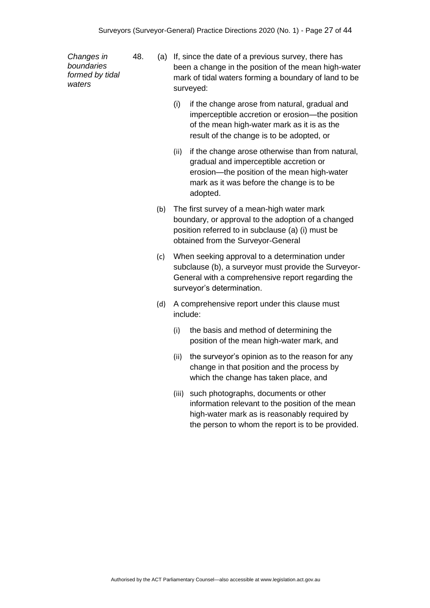*Changes in boundaries formed by tidal waters*

- 48. (a) If, since the date of a previous survey, there has been a change in the position of the mean high-water mark of tidal waters forming a boundary of land to be surveyed:
	- (i) if the change arose from natural, gradual and imperceptible accretion or erosion—the position of the mean high-water mark as it is as the result of the change is to be adopted, or
	- (ii) if the change arose otherwise than from natural, gradual and imperceptible accretion or erosion—the position of the mean high-water mark as it was before the change is to be adopted.
	- (b) The first survey of a mean-high water mark boundary, or approval to the adoption of a changed position referred to in subclause (a) (i) must be obtained from the Surveyor-General
	- (c) When seeking approval to a determination under subclause (b), a surveyor must provide the Surveyor-General with a comprehensive report regarding the surveyor's determination.
	- (d) A comprehensive report under this clause must include:
		- (i) the basis and method of determining the position of the mean high-water mark, and
		- (ii) the surveyor's opinion as to the reason for any change in that position and the process by which the change has taken place, and
		- (iii) such photographs, documents or other information relevant to the position of the mean high-water mark as is reasonably required by the person to whom the report is to be provided.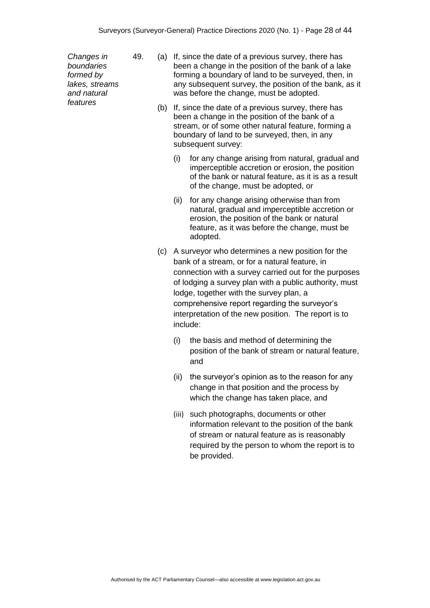*Changes in boundaries formed by lakes, streams and natural features*

- 49. (a) If, since the date of a previous survey, there has been a change in the position of the bank of a lake forming a boundary of land to be surveyed, then, in any subsequent survey, the position of the bank, as it was before the change, must be adopted.
	- (b) If, since the date of a previous survey, there has been a change in the position of the bank of a stream, or of some other natural feature, forming a boundary of land to be surveyed, then, in any subsequent survey:
		- (i) for any change arising from natural, gradual and imperceptible accretion or erosion, the position of the bank or natural feature, as it is as a result of the change, must be adopted, or
		- (ii) for any change arising otherwise than from natural, gradual and imperceptible accretion or erosion, the position of the bank or natural feature, as it was before the change, must be adopted.
	- (c) A surveyor who determines a new position for the bank of a stream, or for a natural feature, in connection with a survey carried out for the purposes of lodging a survey plan with a public authority, must lodge, together with the survey plan, a comprehensive report regarding the surveyor's interpretation of the new position. The report is to include:
		- (i) the basis and method of determining the position of the bank of stream or natural feature, and
		- (ii) the surveyor's opinion as to the reason for any change in that position and the process by which the change has taken place, and
		- (iii) such photographs, documents or other information relevant to the position of the bank of stream or natural feature as is reasonably required by the person to whom the report is to be provided.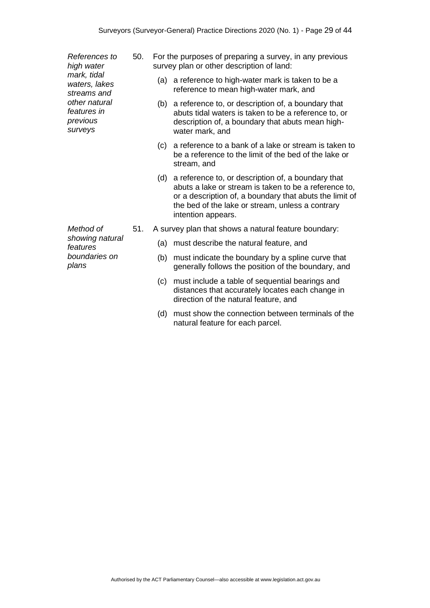*References to high water mark, tidal waters, lakes streams and other natural features in previous surveys*

50. For the purposes of preparing a survey, in any previous survey plan or other description of land:

- (a) a reference to high-water mark is taken to be a reference to mean high-water mark, and
- (b) a reference to, or description of, a boundary that abuts tidal waters is taken to be a reference to, or description of, a boundary that abuts mean highwater mark, and
- (c) a reference to a bank of a lake or stream is taken to be a reference to the limit of the bed of the lake or stream, and
- (d) a reference to, or description of, a boundary that abuts a lake or stream is taken to be a reference to, or a description of, a boundary that abuts the limit of the bed of the lake or stream, unless a contrary intention appears.
- 51. A survey plan that shows a natural feature boundary:
	- (a) must describe the natural feature, and
	- (b) must indicate the boundary by a spline curve that generally follows the position of the boundary, and
	- (c) must include a table of sequential bearings and distances that accurately locates each change in direction of the natural feature, and
	- (d) must show the connection between terminals of the natural feature for each parcel.

*Method of showing natural features boundaries on plans*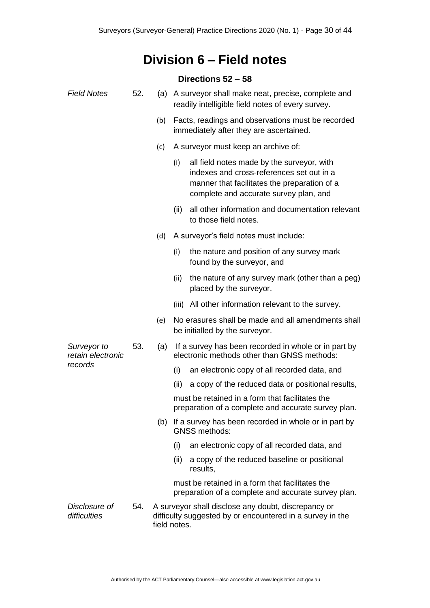# **Division 6 – Field notes**

#### **Directions 52 – 58**

<span id="page-29-1"></span><span id="page-29-0"></span>

| <b>Field Notes</b>               | 52. |     | (a) A surveyor shall make neat, precise, complete and<br>readily intelligible field notes of every survey.                                                                               |
|----------------------------------|-----|-----|------------------------------------------------------------------------------------------------------------------------------------------------------------------------------------------|
|                                  |     | (b) | Facts, readings and observations must be recorded<br>immediately after they are ascertained.                                                                                             |
|                                  |     | (c) | A surveyor must keep an archive of:                                                                                                                                                      |
|                                  |     |     | all field notes made by the surveyor, with<br>(i)<br>indexes and cross-references set out in a<br>manner that facilitates the preparation of a<br>complete and accurate survey plan, and |
|                                  |     |     | all other information and documentation relevant<br>(ii)<br>to those field notes.                                                                                                        |
|                                  |     | (d) | A surveyor's field notes must include:                                                                                                                                                   |
|                                  |     |     | the nature and position of any survey mark<br>(i)<br>found by the surveyor, and                                                                                                          |
|                                  |     |     | the nature of any survey mark (other than a peg)<br>(ii)<br>placed by the surveyor.                                                                                                      |
|                                  |     |     | (iii) All other information relevant to the survey.                                                                                                                                      |
|                                  |     | (e) | No erasures shall be made and all amendments shall<br>be initialled by the surveyor.                                                                                                     |
| Surveyor to<br>retain electronic | 53. | (a) | If a survey has been recorded in whole or in part by<br>electronic methods other than GNSS methods:                                                                                      |
| records                          |     |     | (i)<br>an electronic copy of all recorded data, and                                                                                                                                      |
|                                  |     |     | (ii)<br>a copy of the reduced data or positional results,                                                                                                                                |
|                                  |     |     | must be retained in a form that facilitates the<br>preparation of a complete and accurate survey plan.                                                                                   |
|                                  |     |     | (b) If a survey has been recorded in whole or in part by<br><b>GNSS methods:</b>                                                                                                         |
|                                  |     |     | an electronic copy of all recorded data, and<br>(i)                                                                                                                                      |
|                                  |     |     | (ii)<br>a copy of the reduced baseline or positional<br>results,                                                                                                                         |
|                                  |     |     | must be retained in a form that facilitates the<br>preparation of a complete and accurate survey plan.                                                                                   |
| Disclosure of<br>difficulties    | 54. |     | A surveyor shall disclose any doubt, discrepancy or<br>difficulty suggested by or encountered in a survey in the<br>field notes.                                                         |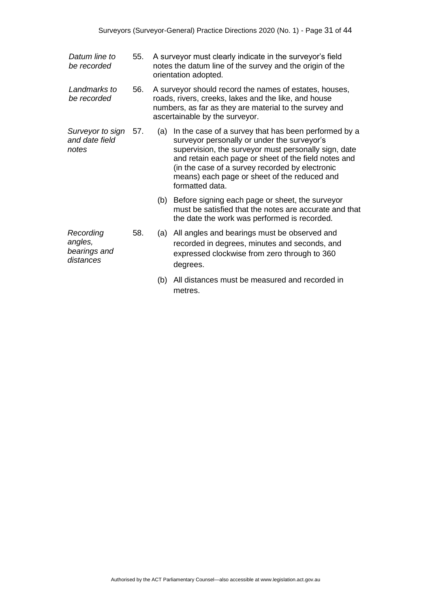| Datum line to<br>be recorded                      | 55. |     | A surveyor must clearly indicate in the surveyor's field<br>notes the datum line of the survey and the origin of the<br>orientation adopted.                                                                                                                                                                                              |
|---------------------------------------------------|-----|-----|-------------------------------------------------------------------------------------------------------------------------------------------------------------------------------------------------------------------------------------------------------------------------------------------------------------------------------------------|
| Landmarks to<br>be recorded                       | 56. |     | A surveyor should record the names of estates, houses,<br>roads, rivers, creeks, lakes and the like, and house<br>numbers, as far as they are material to the survey and<br>ascertainable by the surveyor.                                                                                                                                |
| Surveyor to sign<br>and date field<br>notes       | 57. | (a) | In the case of a survey that has been performed by a<br>surveyor personally or under the surveyor's<br>supervision, the surveyor must personally sign, date<br>and retain each page or sheet of the field notes and<br>(in the case of a survey recorded by electronic<br>means) each page or sheet of the reduced and<br>formatted data. |
|                                                   |     |     | (b) Before signing each page or sheet, the surveyor<br>must be satisfied that the notes are accurate and that<br>the date the work was performed is recorded.                                                                                                                                                                             |
| Recording<br>angles,<br>bearings and<br>distances | 58. | (a) | All angles and bearings must be observed and<br>recorded in degrees, minutes and seconds, and<br>expressed clockwise from zero through to 360<br>degrees.                                                                                                                                                                                 |
|                                                   |     | (b) | All distances must be measured and recorded in<br>metres.                                                                                                                                                                                                                                                                                 |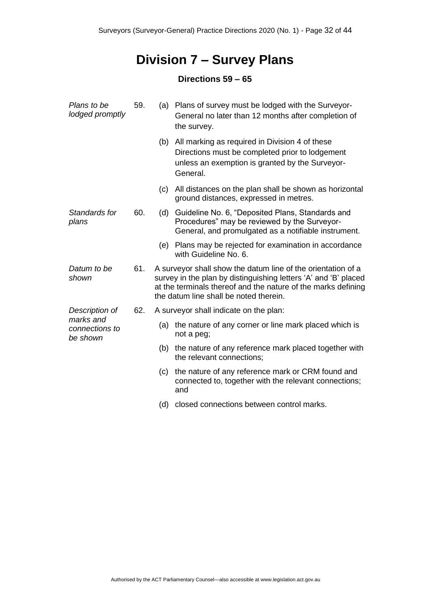# **Division 7 – Survey Plans**

### **Directions 59 – 65**

<span id="page-31-1"></span><span id="page-31-0"></span>

| Plans to be<br>lodged promptly          | 59. | (a) | Plans of survey must be lodged with the Surveyor-<br>General no later than 12 months after completion of<br>the survey.                                                                                                                    |
|-----------------------------------------|-----|-----|--------------------------------------------------------------------------------------------------------------------------------------------------------------------------------------------------------------------------------------------|
|                                         |     | (b) | All marking as required in Division 4 of these<br>Directions must be completed prior to lodgement<br>unless an exemption is granted by the Surveyor-<br>General.                                                                           |
|                                         |     | (c) | All distances on the plan shall be shown as horizontal<br>ground distances, expressed in metres.                                                                                                                                           |
| Standards for<br>plans                  | 60. | (d) | Guideline No. 6, "Deposited Plans, Standards and<br>Procedures" may be reviewed by the Surveyor-<br>General, and promulgated as a notifiable instrument.                                                                                   |
|                                         |     | (e) | Plans may be rejected for examination in accordance<br>with Guideline No. 6.                                                                                                                                                               |
| Datum to be<br>shown                    | 61. |     | A surveyor shall show the datum line of the orientation of a<br>survey in the plan by distinguishing letters 'A' and 'B' placed<br>at the terminals thereof and the nature of the marks defining<br>the datum line shall be noted therein. |
| Description of                          | 62. |     | A surveyor shall indicate on the plan:                                                                                                                                                                                                     |
| marks and<br>connections to<br>be shown |     |     | (a) the nature of any corner or line mark placed which is<br>not a peg;                                                                                                                                                                    |
|                                         |     |     | (b) the nature of any reference mark placed together with<br>the relevant connections;                                                                                                                                                     |
|                                         |     | (c) | the nature of any reference mark or CRM found and<br>connected to, together with the relevant connections;<br>and                                                                                                                          |
|                                         |     | (d) | closed connections between control marks.                                                                                                                                                                                                  |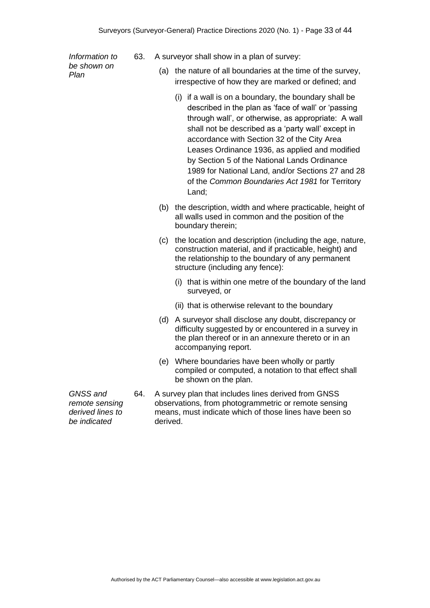*Information to be shown on Plan*

- 63. A surveyor shall show in a plan of survey:
	- (a) the nature of all boundaries at the time of the survey, irrespective of how they are marked or defined; and
		- (i) if a wall is on a boundary, the boundary shall be described in the plan as 'face of wall' or 'passing through wall', or otherwise, as appropriate: A wall shall not be described as a 'party wall' except in accordance with Section 32 of the City Area Leases Ordinance 1936, as applied and modified by Section 5 of the National Lands Ordinance 1989 for National Land, and/or Sections 27 and 28 of the *Common Boundaries Act 1981* for Territory Land;
	- (b) the description, width and where practicable, height of all walls used in common and the position of the boundary therein;
	- (c) the location and description (including the age, nature, construction material, and if practicable, height) and the relationship to the boundary of any permanent structure (including any fence):
		- (i) that is within one metre of the boundary of the land surveyed, or
		- (ii) that is otherwise relevant to the boundary
	- (d) A surveyor shall disclose any doubt, discrepancy or difficulty suggested by or encountered in a survey in the plan thereof or in an annexure thereto or in an accompanying report.
	- (e) Where boundaries have been wholly or partly compiled or computed, a notation to that effect shall be shown on the plan.
- 64. A survey plan that includes lines derived from GNSS observations, from photogrammetric or remote sensing means, must indicate which of those lines have been so derived.

*GNSS and remote sensing derived lines to be indicated*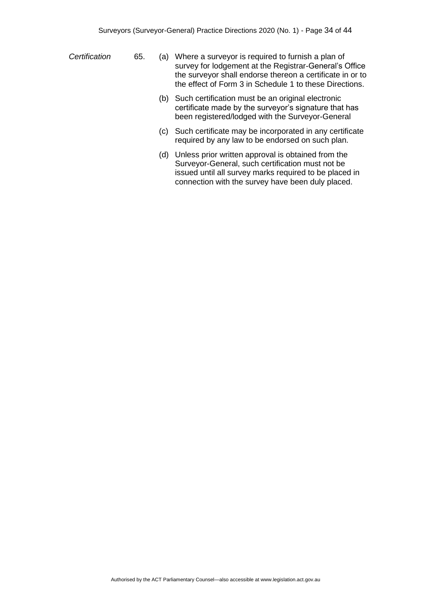- *Certification* 65. (a) Where a surveyor is required to furnish a plan of survey for lodgement at the Registrar-General's Office the surveyor shall endorse thereon a certificate in or to the effect of Form 3 in Schedule 1 to these Directions.
	- (b) Such certification must be an original electronic certificate made by the surveyor's signature that has been registered/lodged with the Surveyor-General
	- (c) Such certificate may be incorporated in any certificate required by any law to be endorsed on such plan.
	- (d) Unless prior written approval is obtained from the Surveyor-General, such certification must not be issued until all survey marks required to be placed in connection with the survey have been duly placed.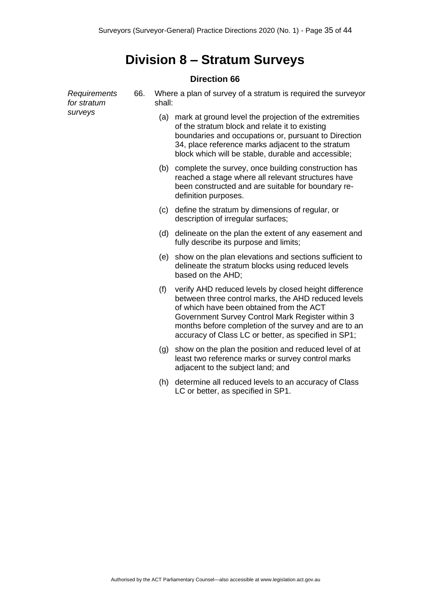# **Division 8 – Stratum Surveys**

#### **Direction 66**

<span id="page-34-1"></span><span id="page-34-0"></span>

| Requirements<br>for stratum | 66. |     | Where a plan of survey of a stratum is required the surveyor<br>shall:                                                                                                                                                                                                                                                       |  |  |  |
|-----------------------------|-----|-----|------------------------------------------------------------------------------------------------------------------------------------------------------------------------------------------------------------------------------------------------------------------------------------------------------------------------------|--|--|--|
| surveys                     |     | (a) | mark at ground level the projection of the extremities<br>of the stratum block and relate it to existing<br>boundaries and occupations or, pursuant to Direction<br>34, place reference marks adjacent to the stratum<br>block which will be stable, durable and accessible;                                                 |  |  |  |
|                             |     | (b) | complete the survey, once building construction has<br>reached a stage where all relevant structures have<br>been constructed and are suitable for boundary re-<br>definition purposes.                                                                                                                                      |  |  |  |
|                             |     | (c) | define the stratum by dimensions of regular, or<br>description of irregular surfaces;                                                                                                                                                                                                                                        |  |  |  |
|                             |     | (d) | delineate on the plan the extent of any easement and<br>fully describe its purpose and limits;                                                                                                                                                                                                                               |  |  |  |
|                             |     | (e) | show on the plan elevations and sections sufficient to<br>delineate the stratum blocks using reduced levels<br>based on the AHD;                                                                                                                                                                                             |  |  |  |
|                             |     | (f) | verify AHD reduced levels by closed height difference<br>between three control marks, the AHD reduced levels<br>of which have been obtained from the ACT<br>Government Survey Control Mark Register within 3<br>months before completion of the survey and are to an<br>accuracy of Class LC or better, as specified in SP1; |  |  |  |
|                             |     | (g) | show on the plan the position and reduced level of at<br>least two reference marks or survey control marks<br>adjacent to the subject land; and                                                                                                                                                                              |  |  |  |
|                             |     | (h) | determine all reduced levels to an accuracy of Class<br>LC or better, as specified in SP1.                                                                                                                                                                                                                                   |  |  |  |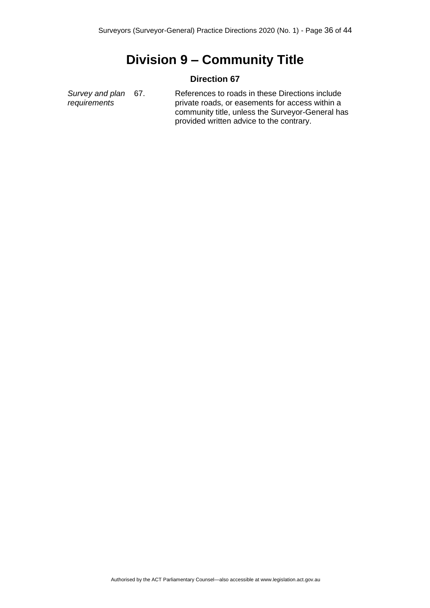# **Division 9 – Community Title**

#### **Direction 67**

<span id="page-35-1"></span><span id="page-35-0"></span>*Survey and plan requirements* References to roads in these Directions include private roads, or easements for access within a community title, unless the Surveyor-General has provided written advice to the contrary.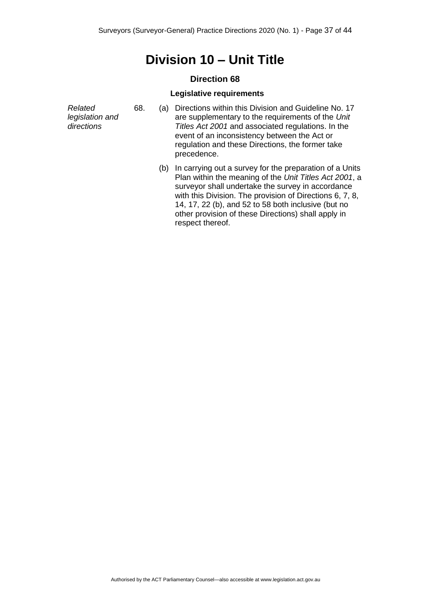## **Division 10 – Unit Title**

#### **Direction 68**

#### **Legislative requirements**

<span id="page-36-1"></span><span id="page-36-0"></span>

| Related<br>legislation and<br>directions | 68. | a)  | Directions within this Division and Guideline No. 17<br>are supplementary to the requirements of the Unit<br>Titles Act 2001 and associated regulations. In the<br>event of an inconsistency between the Act or<br>regulation and these Directions, the former take<br>precedence. |
|------------------------------------------|-----|-----|------------------------------------------------------------------------------------------------------------------------------------------------------------------------------------------------------------------------------------------------------------------------------------|
|                                          |     | (b) | In carrying out a survey for the preparation of a Units<br>Plan within the meaning of the <i>Unit Titles Act 2001</i> a                                                                                                                                                            |

Plan within the meaning of the *Unit Titles Act 2001*, a surveyor shall undertake the survey in accordance with this Division. The provision of Directions 6, 7, 8, 14, 17, 22 (b), and 52 to 58 both inclusive (but no other provision of these Directions) shall apply in respect thereof.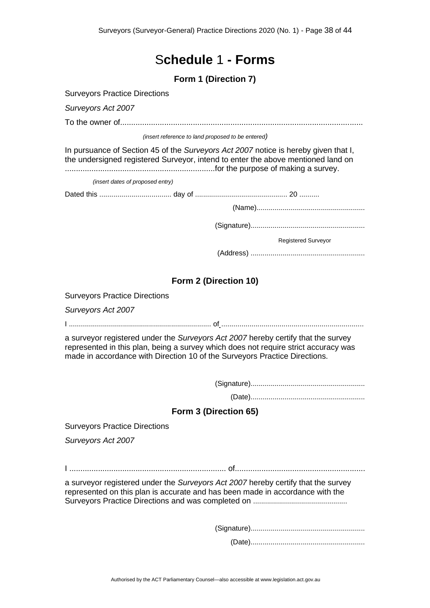## S**chedule** 1 **- Forms**

**Form 1 (Direction 7)**

<span id="page-37-1"></span><span id="page-37-0"></span>

|  |  | <b>Surveyors Practice Directions</b> |
|--|--|--------------------------------------|
|--|--|--------------------------------------|

*Surveyors Act 2007*

To the owner of..............................................................................................................

*(insert reference to land proposed to be entered)*

In pursuance of Section 45 of the *Surveyors Act 2007* notice is hereby given that I, the undersigned registered Surveyor, intend to enter the above mentioned land on ....................................................................for the purpose of making a survey.

*(insert dates of proposed entry)*

Dated this .................................... day of .............................................. 20 ..........

(Signature).........................................................

Registered Surveyor

(Address) .........................................................

#### **Form 2 (Direction 10)**

<span id="page-37-2"></span>Surveyors Practice Directions

*Surveyors Act 2007*

I ....................................................................... of .......................................................................

a surveyor registered under the *Surveyors Act 2007* hereby certify that the survey represented in this plan, being a survey which does not require strict accuracy was made in accordance with Direction 10 of the Surveyors Practice Directions.

(Signature).........................................................

(Date).........................................................

#### **Form 3 (Direction 65)**

<span id="page-37-3"></span>Surveyors Practice Directions

*Surveyors Act 2007*

I ....................................................................... of...........................................................

a surveyor registered under the *Surveyors Act 2007* hereby certify that the survey represented on this plan is accurate and has been made in accordance with the Surveyors Practice Directions and was completed on ...............................................

> (Signature)......................................................... (Date).........................................................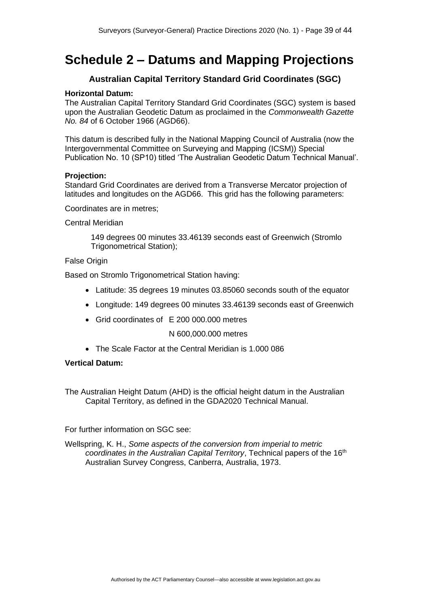# <span id="page-38-0"></span>**Schedule 2 – Datums and Mapping Projections**

#### **Australian Capital Territory Standard Grid Coordinates (SGC)**

#### <span id="page-38-1"></span>**Horizontal Datum:**

The Australian Capital Territory Standard Grid Coordinates (SGC) system is based upon the Australian Geodetic Datum as proclaimed in the *Commonwealth Gazette No. 84* of 6 October 1966 (AGD66).

This datum is described fully in the National Mapping Council of Australia (now the Intergovernmental Committee on Surveying and Mapping (ICSM)) Special Publication No. 10 (SP10) titled 'The Australian Geodetic Datum Technical Manual'.

#### **Projection:**

Standard Grid Coordinates are derived from a Transverse Mercator projection of latitudes and longitudes on the AGD66. This grid has the following parameters:

Coordinates are in metres;

Central Meridian

149 degrees 00 minutes 33.46139 seconds east of Greenwich (Stromlo Trigonometrical Station);

False Origin

Based on Stromlo Trigonometrical Station having:

- Latitude: 35 degrees 19 minutes 03.85060 seconds south of the equator
- Longitude: 149 degrees 00 minutes 33.46139 seconds east of Greenwich
- Grid coordinates of E 200 000.000 metres

N 600,000.000 metres

• The Scale Factor at the Central Meridian is 1.000 086

#### **Vertical Datum:**

The Australian Height Datum (AHD) is the official height datum in the Australian Capital Territory, as defined in the GDA2020 Technical Manual.

For further information on SGC see:

Wellspring, K. H., *Some aspects of the conversion from imperial to metric coordinates in the Australian Capital Territory*, Technical papers of the 16<sup>th</sup> Australian Survey Congress, Canberra, Australia, 1973.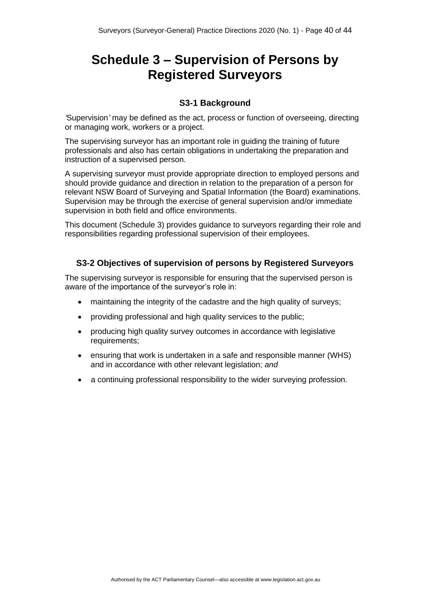# <span id="page-39-0"></span>**Schedule 3 – Supervision of Persons by Registered Surveyors**

#### **S3-1 Background**

<span id="page-39-1"></span>*'*Supervision*'* may be defined as the act, process or function of overseeing, directing or managing work, workers or a project.

The supervising surveyor has an important role in guiding the training of future professionals and also has certain obligations in undertaking the preparation and instruction of a supervised person.

A supervising surveyor must provide appropriate direction to employed persons and should provide guidance and direction in relation to the preparation of a person for relevant NSW Board of Surveying and Spatial Information (the Board) examinations. Supervision may be through the exercise of general supervision and/or immediate supervision in both field and office environments.

This document (Schedule 3) provides guidance to surveyors regarding their role and responsibilities regarding professional supervision of their employees.

#### <span id="page-39-2"></span>**S3-2 Objectives of supervision of persons by Registered Surveyors**

The supervising surveyor is responsible for ensuring that the supervised person is aware of the importance of the surveyor's role in:

- maintaining the integrity of the cadastre and the high quality of surveys;
- providing professional and high quality services to the public;
- producing high quality survey outcomes in accordance with legislative requirements;
- ensuring that work is undertaken in a safe and responsible manner (WHS) and in accordance with other relevant legislation; *and*
- a continuing professional responsibility to the wider surveying profession.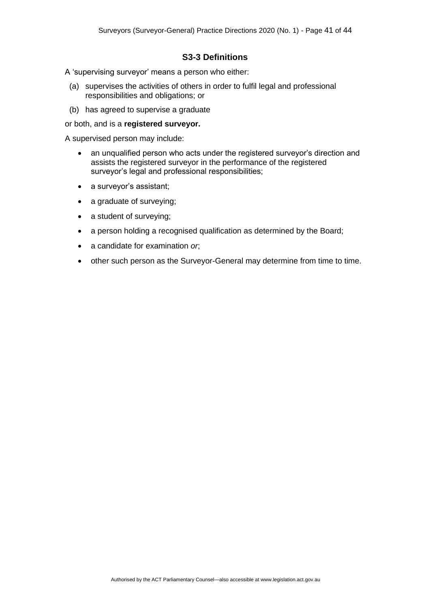#### **S3-3 Definitions**

<span id="page-40-0"></span>A 'supervising surveyor' means a person who either:

- (a) supervises the activities of others in order to fulfil legal and professional responsibilities and obligations; or
- (b) has agreed to supervise a graduate

#### or both, and is a **registered surveyor.**

A supervised person may include:

- an unqualified person who acts under the registered surveyor's direction and assists the registered surveyor in the performance of the registered surveyor's legal and professional responsibilities;
- a survevor's assistant:
- a graduate of surveying;
- a student of surveying;
- a person holding a recognised qualification as determined by the Board;
- a candidate for examination *or*;
- other such person as the Surveyor-General may determine from time to time.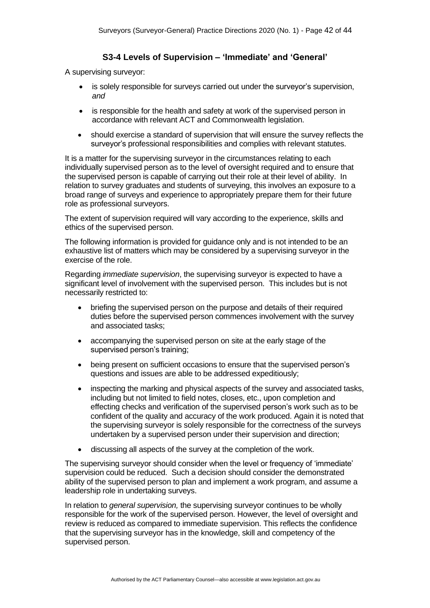#### **S3-4 Levels of Supervision – 'Immediate' and 'General'**

<span id="page-41-0"></span>A supervising surveyor:

- is solely responsible for surveys carried out under the surveyor's supervision, *and*
- is responsible for the health and safety at work of the supervised person in accordance with relevant ACT and Commonwealth legislation.
- should exercise a standard of supervision that will ensure the survey reflects the surveyor's professional responsibilities and complies with relevant statutes.

It is a matter for the supervising surveyor in the circumstances relating to each individually supervised person as to the level of oversight required and to ensure that the supervised person is capable of carrying out their role at their level of ability. In relation to survey graduates and students of surveying, this involves an exposure to a broad range of surveys and experience to appropriately prepare them for their future role as professional surveyors.

The extent of supervision required will vary according to the experience, skills and ethics of the supervised person.

The following information is provided for guidance only and is not intended to be an exhaustive list of matters which may be considered by a supervising surveyor in the exercise of the role.

Regarding *immediate supervision*, the supervising surveyor is expected to have a significant level of involvement with the supervised person. This includes but is not necessarily restricted to:

- briefing the supervised person on the purpose and details of their required duties before the supervised person commences involvement with the survey and associated tasks;
- accompanying the supervised person on site at the early stage of the supervised person's training;
- being present on sufficient occasions to ensure that the supervised person's questions and issues are able to be addressed expeditiously;
- inspecting the marking and physical aspects of the survey and associated tasks, including but not limited to field notes, closes, etc., upon completion and effecting checks and verification of the supervised person's work such as to be confident of the quality and accuracy of the work produced. Again it is noted that the supervising surveyor is solely responsible for the correctness of the surveys undertaken by a supervised person under their supervision and direction;
- discussing all aspects of the survey at the completion of the work.

The supervising surveyor should consider when the level or frequency of 'immediate' supervision could be reduced. Such a decision should consider the demonstrated ability of the supervised person to plan and implement a work program, and assume a leadership role in undertaking surveys.

In relation to *general supervision,* the supervising surveyor continues to be wholly responsible for the work of the supervised person. However, the level of oversight and review is reduced as compared to immediate supervision. This reflects the confidence that the supervising surveyor has in the knowledge, skill and competency of the supervised person.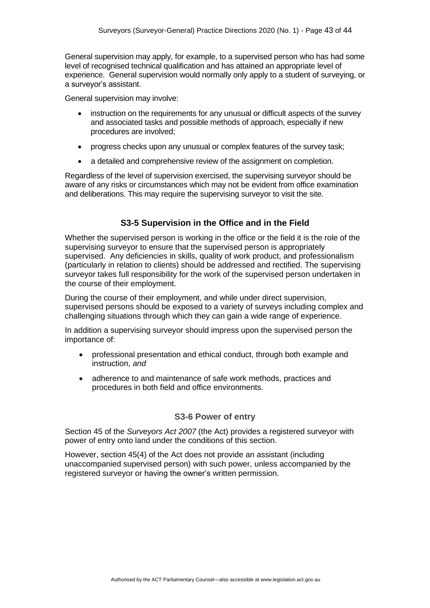General supervision may apply, for example, to a supervised person who has had some level of recognised technical qualification and has attained an appropriate level of experience. General supervision would normally only apply to a student of surveying, or a surveyor's assistant.

General supervision may involve:

- instruction on the requirements for any unusual or difficult aspects of the survey and associated tasks and possible methods of approach, especially if new procedures are involved;
- progress checks upon any unusual or complex features of the survey task;
- a detailed and comprehensive review of the assignment on completion.

Regardless of the level of supervision exercised, the supervising surveyor should be aware of any risks or circumstances which may not be evident from office examination and deliberations. This may require the supervising surveyor to visit the site.

### **S3-5 Supervision in the Office and in the Field**

<span id="page-42-0"></span>Whether the supervised person is working in the office or the field it is the role of the supervising surveyor to ensure that the supervised person is appropriately supervised. Any deficiencies in skills, quality of work product, and professionalism (particularly in relation to clients) should be addressed and rectified. The supervising surveyor takes full responsibility for the work of the supervised person undertaken in the course of their employment.

During the course of their employment, and while under direct supervision, supervised persons should be exposed to a variety of surveys including complex and challenging situations through which they can gain a wide range of experience.

In addition a supervising surveyor should impress upon the supervised person the importance of:

- professional presentation and ethical conduct, through both example and instruction, *and*
- adherence to and maintenance of safe work methods, practices and procedures in both field and office environments.

#### **S3-6 Power of entry**

<span id="page-42-1"></span>Section 45 of the *Surveyors Act 2007* (the Act) provides a registered surveyor with power of entry onto land under the conditions of this section.

However, section 45(4) of the Act does not provide an assistant (including unaccompanied supervised person) with such power, unless accompanied by the registered surveyor or having the owner's written permission.